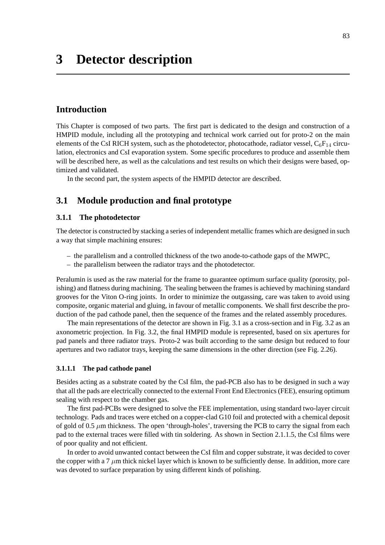# **Introduction**

This Chapter is composed of two parts. The first part is dedicated to the design and construction of a HMPID module, including all the prototyping and technical work carried out for proto-2 on the main elements of the CsI RICH system, such as the photodetector, photocathode, radiator vessel,  $C_6F_{14}$  circulation, electronics and CsI evaporation system. Some specific procedures to produce and assemble them will be described here, as well as the calculations and test results on which their designs were based, optimized and validated.

In the second part, the system aspects of the HMPID detector are described.

# **3.1 Module production and final prototype**

# **3.1.1 The photodetector**

The detector is constructed by stacking a series of independent metallic frames which are designed in such a way that simple machining ensures:

- the parallelism and a controlled thickness of the two anode-to-cathode gaps of the MWPC,
- the parallelism between the radiator trays and the photodetector.

Peralumin is used as the raw material for the frame to guarantee optimum surface quality (porosity, polishing) and flatness during machining. The sealing between the frames is achieved by machining standard grooves for the Viton O-ring joints. In order to minimize the outgassing, care was taken to avoid using composite, organic material and gluing, in favour of metallic components. We shall first describe the production of the pad cathode panel, then the sequence of the frames and the related assembly procedures.

The main representations of the detector are shown in Fig. 3.1 as a cross-section and in Fig. 3.2 as an axonometric projection. In Fig. 3.2, the final HMPID module is represented, based on six apertures for pad panels and three radiator trays. Proto-2 was built according to the same design but reduced to four apertures and two radiator trays, keeping the same dimensions in the other direction (see Fig. 2.26).

# **3.1.1.1 The pad cathode panel**

Besides acting as a substrate coated by the CsI film, the pad-PCB also has to be designed in such a way that all the pads are electrically connected to the external Front End Electronics (FEE), ensuring optimum sealing with respect to the chamber gas.

The first pad-PCBs were designed to solve the FEE implementation, using standard two-layer circuit technology. Pads and traces were etched on a copper-clad G10 foil and protected with a chemical deposit of gold of 0.5  $\mu$ m thickness. The open 'through-holes', traversing the PCB to carry the signal from each pad to the external traces were filled with tin soldering. As shown in Section 2.1.1.5, the CsI films were of poor quality and not efficient.

In order to avoid unwanted contact between the CsI film and copper substrate, it was decided to cover the copper with a 7  $\mu$ m thick nickel layer which is known to be sufficiently dense. In addition, more care was devoted to surface preparation by using different kinds of polishing.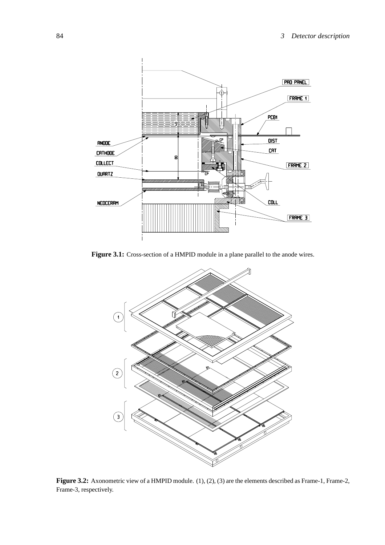

**Figure 3.1:** Cross-section of a HMPID module in a plane parallel to the anode wires.



Figure 3.2: Axonometric view of a HMPID module. (1), (2), (3) are the elements described as Frame-1, Frame-2, Frame-3, respectively.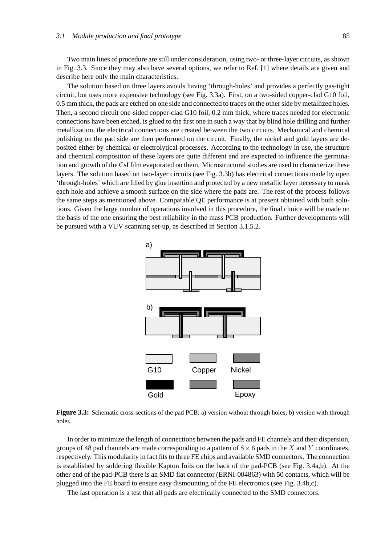Two main lines of procedure are still under consideration, using two- or three-layer circuits, as shown in Fig. 3.3. Since they may also have several options, we refer to Ref. [1] where details are given and describe here only the main characteristics.

The solution based on three layers avoids having 'through-holes' and provides a perfectly gas-tight circuit, but uses more expensive technology (see Fig. 3.3a). First, on a two-sided copper-clad G10 foil, 0.5 mm thick, the pads are etched on one side and connected to traces on the other side by metallized holes. Then, a second circuit one-sided copper-clad G10 foil, 0.2 mm thick, where traces needed for electronic connections have been etched, is glued to the first one in such a way that by blind hole drilling and further metallization, the electrical connections are created between the two circuits. Mechanical and chemical polishing on the pad side are then performed on the circuit. Finally, the nickel and gold layers are deposited either by chemical or electrolytical processes. According to the technology in use, the structure and chemical composition of these layers are quite different and are expected to influence the germination and growth of the CsI film evaporated on them. Microstructural studies are used to characterize these layers. The solution based on two-layer circuits (see Fig. 3.3b) has electrical connections made by open 'through-holes' which are filled by glue insertion and protected by a new metallic layer necessary to mask each hole and achieve a smooth surface on the side where the pads are. The rest of the process follows the same steps as mentioned above. Comparable QE performance is at present obtained with both solutions. Given the large number of operations involved in this procedure, the final choice will be made on the basis of the one ensuring the best reliability in the mass PCB production. Further developments will be pursued with a VUV scanning set-up, as described in Section 3.1.5.2.



**Figure 3.3:** Schematic cross-sections of the pad PCB: a) version without through holes; b) version with through holes.

In order to minimize the length of connections between the pads and FE channels and their dispersion, groups of 48 pad channels are made corresponding to a pattern of  $8 \times 6$  pads in the *X* and *Y* coordinates, respectively. This modularity in fact fits to three FE chips and available SMD connectors. The connection is established by soldering flexible Kapton foils on the back of the pad-PCB (see Fig. 3.4a,b). At the other end of the pad-PCB there is an SMD flat connector (ERNI-004863) with 50 contacts, which will be plugged into the FE board to ensure easy dismounting of the FE electronics (see Fig. 3.4b,c).

The last operation is a test that all pads are electrically connected to the SMD connectors.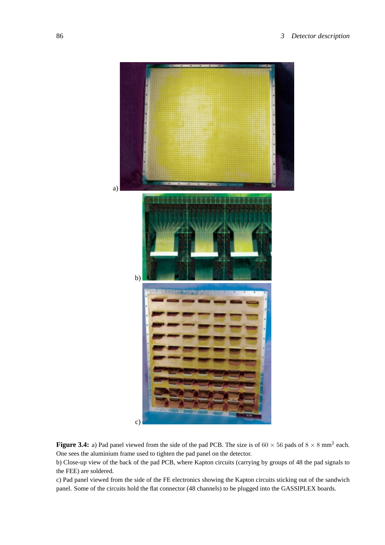

**Figure 3.4:** a) Pad panel viewed from the side of the pad PCB. The size is of  $60 \times 56$  pads of  $8 \times 8$  mm<sup>2</sup> each. One sees the aluminium frame used to tighten the pad panel on the detector.

b) Close-up view of the back of the pad PCB, where Kapton circuits (carrying by groups of 48 the pad signals to the FEE) are soldered.

c) Pad panel viewed from the side of the FE electronics showing the Kapton circuits sticking out of the sandwich panel. Some of the circuits hold the flat connector (48 channels) to be plugged into the GASSIPLEX boards.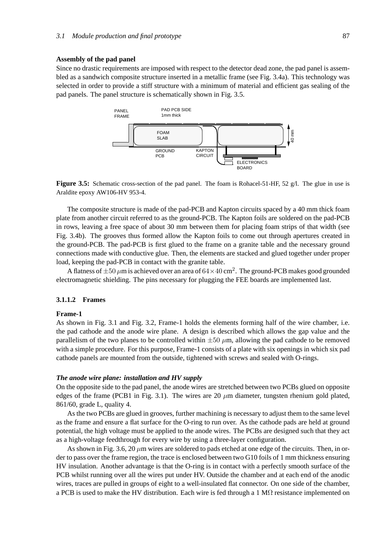### **Assembly of the pad panel**

Since no drastic requirements are imposed with respect to the detector dead zone, the pad panel is assembled as a sandwich composite structure inserted in a metallic frame (see Fig. 3.4a). This technology was selected in order to provide a stiff structure with a minimum of material and efficient gas sealing of the pad panels. The panel structure is schematically shown in Fig. 3.5.





The composite structure is made of the pad-PCB and Kapton circuits spaced by a 40 mm thick foam plate from another circuit referred to as the ground-PCB. The Kapton foils are soldered on the pad-PCB in rows, leaving a free space of about 30 mm between them for placing foam strips of that width (see Fig. 3.4b). The grooves thus formed allow the Kapton foils to come out through apertures created in the ground-PCB. The pad-PCB is first glued to the frame on a granite table and the necessary ground connections made with conductive glue. Then, the elements are stacked and glued together under proper load, keeping the pad-PCB in contact with the granite table.

A flatness of  $\pm 50 \,\mu$ m is achieved over an area of  $64\times 40 \,\text{cm}^2$ . The ground-PCB makes good grounded electromagnetic shielding. The pins necessary for plugging the FEE boards are implemented last.

#### **3.1.1.2 Frames**

#### **Frame-1**

As shown in Fig. 3.1 and Fig. 3.2, Frame-1 holds the elements forming half of the wire chamber, i.e. the pad cathode and the anode wire plane. A design is described which allows the gap value and the parallelism of the two planes to be controlled within  $\pm 50 \mu m$ , allowing the pad cathode to be removed with a simple procedure. For this purpose, Frame-1 consists of a plate with six openings in which six pad cathode panels are mounted from the outside, tightened with screws and sealed with O-rings.

# *The anode wire plane: installation and HV supply*

On the opposite side to the pad panel, the anode wires are stretched between two PCBs glued on opposite edges of the frame (PCB1 in Fig. 3.1). The wires are 20  $\mu$ m diameter, tungsten rhenium gold plated, 861/60, grade L, quality 4.

As the two PCBs are glued in grooves, further machining is necessary to adjust them to the same level as the frame and ensure a flat surface for the O-ring to run over. As the cathode pads are held at ground potential, the high voltage must be applied to the anode wires. The PCBs are designed such that they act as a high-voltage feedthrough for every wire by using a three-layer configuration.

As shown in Fig. 3.6, 20  $\mu$ m wires are soldered to pads etched at one edge of the circuits. Then, in order to pass over the frame region, the trace is enclosed between two G10 foils of 1 mm thickness ensuring HV insulation. Another advantage is that the O-ring is in contact with a perfectly smooth surface of the PCB whilst running over all the wires put under HV. Outside the chamber and at each end of the anodic wires, traces are pulled in groups of eight to a well-insulated flat connector. On one side of the chamber, a PCB is used to make the HV distribution. Each wire is fed through a 1 MΩ resistance implemented on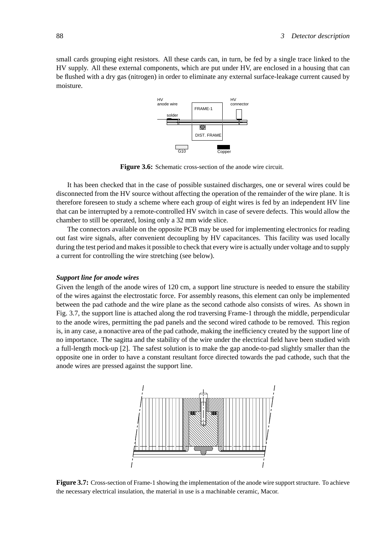small cards grouping eight resistors. All these cards can, in turn, be fed by a single trace linked to the HV supply. All these external components, which are put under HV, are enclosed in a housing that can be flushed with a dry gas (nitrogen) in order to eliminate any external surface-leakage current caused by moisture.



**Figure 3.6:** Schematic cross-section of the anode wire circuit.

It has been checked that in the case of possible sustained discharges, one or several wires could be disconnected from the HV source without affecting the operation of the remainder of the wire plane. It is therefore foreseen to study a scheme where each group of eight wires is fed by an independent HV line that can be interrupted by a remote-controlled HV switch in case of severe defects. This would allow the chamber to still be operated, losing only a 32 mm wide slice.

The connectors available on the opposite PCB may be used for implementing electronics for reading out fast wire signals, after convenient decoupling by HV capacitances. This facility was used locally during the test period and makes it possible to check that every wire is actually under voltage and to supply a current for controlling the wire stretching (see below).

#### *Support line for anode wires*

Given the length of the anode wires of 120 cm, a support line structure is needed to ensure the stability of the wires against the electrostatic force. For assembly reasons, this element can only be implemented between the pad cathode and the wire plane as the second cathode also consists of wires. As shown in Fig. 3.7, the support line is attached along the rod traversing Frame-1 through the middle, perpendicular to the anode wires, permitting the pad panels and the second wired cathode to be removed. This region is, in any case, a nonactive area of the pad cathode, making the inefficiency created by the support line of no importance. The sagitta and the stability of the wire under the electrical field have been studied with a full-length mock-up [2]. The safest solution is to make the gap anode-to-pad slightly smaller than the opposite one in order to have a constant resultant force directed towards the pad cathode, such that the anode wires are pressed against the support line.



**Figure 3.7:** Cross-section of Frame-1 showing the implementation of the anode wire support structure. To achieve the necessary electrical insulation, the material in use is a machinable ceramic, Macor.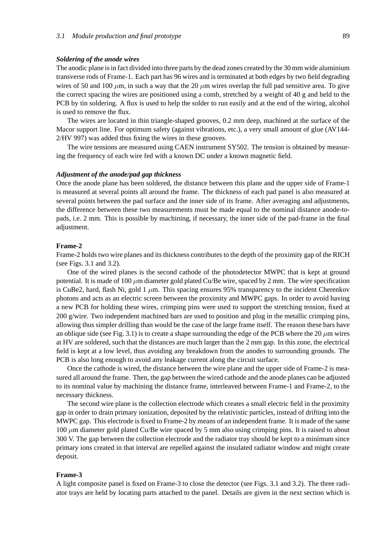#### *Soldering of the anode wires*

The anodic plane is in fact divided into three parts by the dead zones created by the 30 mm wide aluminium transverse rods of Frame-1. Each part has 96 wires and is terminated at both edges by two field degrading wires of 50 and 100  $\mu$ m, in such a way that the 20  $\mu$ m wires overlap the full pad sensitive area. To give the correct spacing the wires are positioned using a comb, stretched by a weight of 40 g and held to the PCB by tin soldering. A flux is used to help the solder to run easily and at the end of the wiring, alcohol is used to remove the flux.

The wires are located in thin triangle-shaped grooves, 0.2 mm deep, machined at the surface of the Macor support line. For optimum safety (against vibrations, etc.), a very small amount of glue (AV144- 2/HV 997) was added thus fixing the wires in these grooves.

The wire tensions are measured using CAEN instrument SY502. The tension is obtained by measuring the frequency of each wire fed with a known DC under a known magnetic field.

#### *Adjustment of the anode/pad gap thickness*

Once the anode plane has been soldered, the distance between this plane and the upper side of Frame-1 is measured at several points all around the frame. The thickness of each pad panel is also measured at several points between the pad surface and the inner side of its frame. After averaging and adjustments, the difference between these two measurements must be made equal to the nominal distance anode-topads, i.e. 2 mm. This is possible by machining, if necessary, the inner side of the pad-frame in the final adjustment.

#### **Frame-2**

Frame-2 holds two wire planes and its thickness contributes to the depth of the proximity gap of the RICH (see Figs. 3.1 and 3.2).

One of the wired planes is the second cathode of the photodetector MWPC that is kept at ground potential. It is made of 100 *µ*m diameter gold plated Cu/Be wire, spaced by 2 mm. The wire specification is CuBe2, hard, flash Ni, gold  $1 \mu m$ . This spacing ensures 95% transparency to the incident Cherenkov photons and acts as an electric screen between the proximity and MWPC gaps. In order to avoid having a new PCB for holding these wires, crimping pins were used to support the stretching tension, fixed at 200 g/wire. Two independent machined bars are used to position and plug in the metallic crimping pins, allowing thus simpler drilling than would be the case of the large frame itself. The reason these bars have an oblique side (see Fig. 3.1) is to create a shape surrounding the edge of the PCB where the 20  $\mu$ m wires at HV are soldered, such that the distances are much larger than the 2 mm gap. In this zone, the electrical field is kept at a low level, thus avoiding any breakdown from the anodes to surrounding grounds. The PCB is also long enough to avoid any leakage current along the circuit surface.

Once the cathode is wired, the distance between the wire plane and the upper side of Frame-2 is measured all around the frame. Then, the gap between the wired cathode and the anode planes can be adjusted to its nominal value by machining the distance frame, interleaved between Frame-1 and Frame-2, to the necessary thickness.

The second wire plane is the collection electrode which creates a small electric field in the proximity gap in order to drain primary ionization, deposited by the relativistic particles, instead of drifting into the MWPC gap. This electrode is fixed to Frame-2 by means of an independent frame. It is made of the same 100 *µ*m diameter gold plated Cu/Be wire spaced by 5 mm also using crimping pins. It is raised to about 300 V. The gap between the collection electrode and the radiator tray should be kept to a minimum since primary ions created in that interval are repelled against the insulated radiator window and might create deposit.

### **Frame-3**

A light composite panel is fixed on Frame-3 to close the detector (see Figs. 3.1 and 3.2). The three radiator trays are held by locating parts attached to the panel. Details are given in the next section which is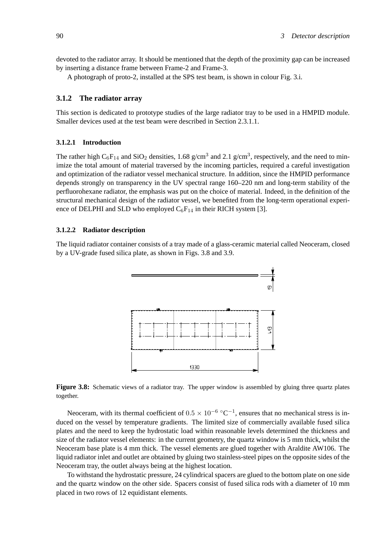devoted to the radiator array. It should be mentioned that the depth of the proximity gap can be increased by inserting a distance frame between Frame-2 and Frame-3.

A photograph of proto-2, installed at the SPS test beam, is shown in colour Fig. 3.i.

# **3.1.2 The radiator array**

This section is dedicated to prototype studies of the large radiator tray to be used in a HMPID module. Smaller devices used at the test beam were described in Section 2.3.1.1.

### **3.1.2.1 Introduction**

The rather high  $C_6F_{14}$  and  $SiO_2$  densities, 1.68 g/cm<sup>3</sup> and 2.1 g/cm<sup>3</sup>, respectively, and the need to minimize the total amount of material traversed by the incoming particles, required a careful investigation and optimization of the radiator vessel mechanical structure. In addition, since the HMPID performance depends strongly on transparency in the UV spectral range 160–220 nm and long-term stability of the perfluorohexane radiator, the emphasis was put on the choice of material. Indeed, in the definition of the structural mechanical design of the radiator vessel, we benefited from the long-term operational experience of DELPHI and SLD who employed  $C_6F_{14}$  in their RICH system [3].

# **3.1.2.2 Radiator description**

The liquid radiator container consists of a tray made of a glass-ceramic material called Neoceram, closed by a UV-grade fused silica plate, as shown in Figs. 3.8 and 3.9.



**Figure 3.8:** Schematic views of a radiator tray. The upper window is assembled by gluing three quartz plates together.

Neoceram, with its thermal coefficient of  $0.5 \times 10^{-6}$  °C<sup>-1</sup>, ensures that no mechanical stress is induced on the vessel by temperature gradients. The limited size of commercially available fused silica plates and the need to keep the hydrostatic load within reasonable levels determined the thickness and size of the radiator vessel elements: in the current geometry, the quartz window is 5 mm thick, whilst the Neoceram base plate is 4 mm thick. The vessel elements are glued together with Araldite AW106. The liquid radiator inlet and outlet are obtained by gluing two stainless-steel pipes on the opposite sides of the Neoceram tray, the outlet always being at the highest location.

To withstand the hydrostatic pressure, 24 cylindrical spacers are glued to the bottom plate on one side and the quartz window on the other side. Spacers consist of fused silica rods with a diameter of 10 mm placed in two rows of 12 equidistant elements.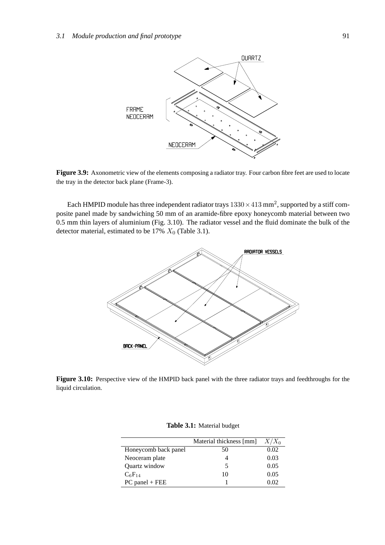

**Figure 3.9:** Axonometric view of the elements composing a radiator tray. Four carbon fibre feet are used to locate the tray in the detector back plane (Frame-3).

Each HMPID module has three independent radiator trays  $1330 \times 413$  mm<sup>2</sup>, supported by a stiff composite panel made by sandwiching 50 mm of an aramide-fibre epoxy honeycomb material between two 0.5 mm thin layers of aluminium (Fig. 3.10). The radiator vessel and the fluid dominate the bulk of the detector material, estimated to be  $17\%$   $X_0$  (Table 3.1).



**Figure 3.10:** Perspective view of the HMPID back panel with the three radiator trays and feedthroughs for the liquid circulation.

|                      | Material thickness [mm] | $X/X_0$ |
|----------------------|-------------------------|---------|
| Honeycomb back panel | 50                      | 0.02    |
| Neoceram plate       |                         | 0.03    |
| Quartz window        | 5                       | 0.05    |
| $C_6F_{14}$          | 10                      | 0.05    |
| $PC$ panel + FEE     |                         | ን በ2    |

**Table 3.1:** Material budget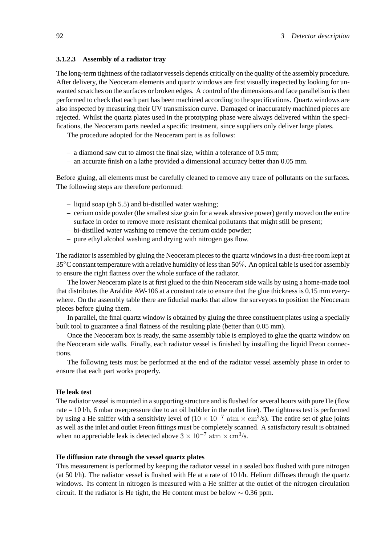# **3.1.2.3 Assembly of a radiator tray**

The long-term tightness of the radiator vessels depends critically on the quality of the assembly procedure. After delivery, the Neoceram elements and quartz windows are first visually inspected by looking for unwanted scratches on the surfaces or broken edges. A control of the dimensions and face parallelism is then performed to check that each part has been machined according to the specifications. Quartz windows are also inspected by measuring their UV transmission curve. Damaged or inaccurately machined pieces are rejected. Whilst the quartz plates used in the prototyping phase were always delivered within the specifications, the Neoceram parts needed a specific treatment, since suppliers only deliver large plates.

The procedure adopted for the Neoceram part is as follows:

- a diamond saw cut to almost the final size, within a tolerance of 0.5 mm;
- an accurate finish on a lathe provided a dimensional accuracy better than 0.05 mm.

Before gluing, all elements must be carefully cleaned to remove any trace of pollutants on the surfaces. The following steps are therefore performed:

- liquid soap (ph 5.5) and bi-distilled water washing;
- cerium oxide powder (the smallest size grain for a weak abrasive power) gently moved on the entire surface in order to remove more resistant chemical pollutants that might still be present;
- bi-distilled water washing to remove the cerium oxide powder;
- pure ethyl alcohol washing and drying with nitrogen gas flow.

The radiator is assembled by gluing the Neoceram pieces to the quartz windows in a dust-free room kept at 35◦C constant temperature with a relative humidity of less than 50%. An optical table is used for assembly to ensure the right flatness over the whole surface of the radiator.

The lower Neoceram plate is at first glued to the thin Neoceram side walls by using a home-made tool that distributes the Araldite AW-106 at a constant rate to ensure that the glue thickness is 0.15 mm everywhere. On the assembly table there are fiducial marks that allow the surveyors to position the Neoceram pieces before gluing them.

In parallel, the final quartz window is obtained by gluing the three constituent plates using a specially built tool to guarantee a final flatness of the resulting plate (better than 0.05 mm).

Once the Neoceram box is ready, the same assembly table is employed to glue the quartz window on the Neoceram side walls. Finally, each radiator vessel is finished by installing the liquid Freon connections.

The following tests must be performed at the end of the radiator vessel assembly phase in order to ensure that each part works properly.

#### **He leak test**

The radiator vessel is mounted in a supporting structure and is flushed for several hours with pure He (flow rate = 10 l/h, 6 mbar overpressure due to an oil bubbler in the outlet line). The tightness test is performed by using a He sniffer with a sensitivity level of  $(10 \times 10^{-7} \text{ atm} \times \text{cm}^3/\text{s})$ . The entire set of glue joints as well as the inlet and outlet Freon fittings must be completely scanned. A satisfactory result is obtained when no appreciable leak is detected above  $3 \times 10^{-7}$  atm  $\times$  cm<sup>3</sup>/s.

# **He diffusion rate through the vessel quartz plates**

This measurement is performed by keeping the radiator vessel in a sealed box flushed with pure nitrogen (at 50  $1/h$ ). The radiator vessel is flushed with He at a rate of 10  $1/h$ . Helium diffuses through the quartz windows. Its content in nitrogen is measured with a He sniffer at the outlet of the nitrogen circulation circuit. If the radiator is He tight, the He content must be below  $\sim 0.36$  ppm.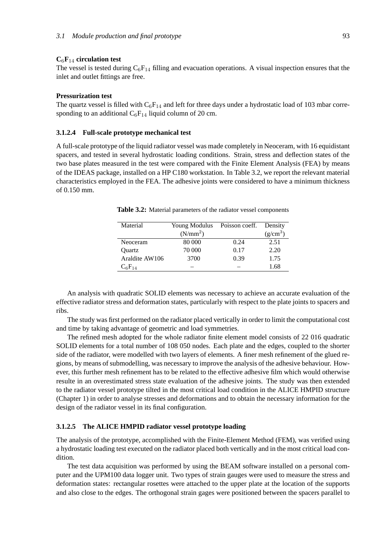### **C**6**F**<sup>14</sup> **circulation test**

The vessel is tested during  $C_6F_{14}$  filling and evacuation operations. A visual inspection ensures that the inlet and outlet fittings are free.

### **Pressurization test**

The quartz vessel is filled with  $C_6F_{14}$  and left for three days under a hydrostatic load of 103 mbar corresponding to an additional  $C_6F_{14}$  liquid column of 20 cm.

#### **3.1.2.4 Full-scale prototype mechanical test**

A full-scale prototype of the liquid radiator vessel was made completely in Neoceram, with 16 equidistant spacers, and tested in several hydrostatic loading conditions. Strain, stress and deflection states of the two base plates measured in the test were compared with the Finite Element Analysis (FEA) by means of the IDEAS package, installed on a HP C180 workstation. In Table 3.2, we report the relevant material characteristics employed in the FEA. The adhesive joints were considered to have a minimum thickness of 0.150 mm.

| Material       | Young Modulus | Poisson coeff. | Density    |
|----------------|---------------|----------------|------------|
|                | $(N/mm^2)$    |                | $(g/cm^3)$ |
| Neoceram       | 80 000        | 0.24           | 2.51       |
| Ouartz         | 70 000        | 0.17           | 2.20       |
| Araldite AW106 | 3700          | 0.39           | 1.75       |
| $C_6F_{14}$    |               |                | 1.68       |

**Table 3.2:** Material parameters of the radiator vessel components

An analysis with quadratic SOLID elements was necessary to achieve an accurate evaluation of the effective radiator stress and deformation states, particularly with respect to the plate joints to spacers and ribs.

The study was first performed on the radiator placed vertically in order to limit the computational cost and time by taking advantage of geometric and load symmetries.

The refined mesh adopted for the whole radiator finite element model consists of 22 016 quadratic SOLID elements for a total number of 108 050 nodes. Each plate and the edges, coupled to the shorter side of the radiator, were modelled with two layers of elements. A finer mesh refinement of the glued regions, by means of submodelling, was necessary to improve the analysis of the adhesive behaviour. However, this further mesh refinement has to be related to the effective adhesive film which would otherwise resulte in an overestimated stress state evaluation of the adhesive joints. The study was then extended to the radiator vessel prototype tilted in the most critical load condition in the ALICE HMPID structure (Chapter 1) in order to analyse stresses and deformations and to obtain the necessary information for the design of the radiator vessel in its final configuration.

# **3.1.2.5 The ALICE HMPID radiator vessel prototype loading**

The analysis of the prototype, accomplished with the Finite-Element Method (FEM), was verified using a hydrostatic loading test executed on the radiator placed both vertically and in the most critical load condition.

The test data acquisition was performed by using the BEAM software installed on a personal computer and the UPM100 data logger unit. Two types of strain gauges were used to measure the stress and deformation states: rectangular rosettes were attached to the upper plate at the location of the supports and also close to the edges. The orthogonal strain gages were positioned between the spacers parallel to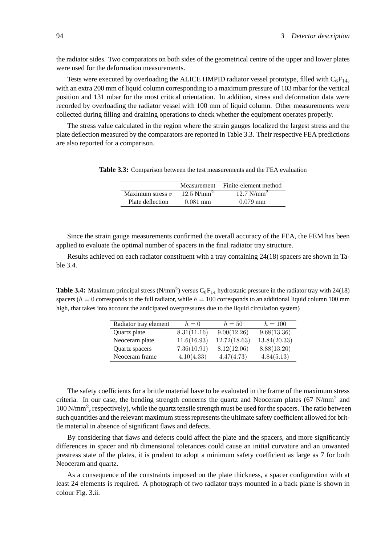the radiator sides. Two comparators on both sides of the geometrical centre of the upper and lower plates were used for the deformation measurements.

Tests were executed by overloading the ALICE HMPID radiator vessel prototype, filled with  $C_6F_{14}$ , with an extra 200 mm of liquid column corresponding to a maximum pressure of 103 mbar for the vertical position and 131 mbar for the most critical orientation. In addition, stress and deformation data were recorded by overloading the radiator vessel with 100 mm of liquid column. Other measurements were collected during filling and draining operations to check whether the equipment operates properly.

The stress value calculated in the region where the strain gauges localized the largest stress and the plate deflection measured by the comparators are reported in Table 3.3. Their respective FEA predictions are also reported for a comparison.

**Table 3.3:** Comparison between the test measurements and the FEA evaluation

|                         | Measurement              | Finite-element method |
|-------------------------|--------------------------|-----------------------|
| Maximum stress $\sigma$ | $12.5$ N/mm <sup>2</sup> | $12.7 \text{ N/mm}^2$ |
| Plate deflection        | $0.081$ mm               | $0.079$ mm            |

Since the strain gauge measurements confirmed the overall accuracy of the FEA, the FEM has been applied to evaluate the optimal number of spacers in the final radiator tray structure.

Results achieved on each radiator constituent with a tray containing 24(18) spacers are shown in Table 3.4.

**Table 3.4:** Maximum principal stress  $(N/mm^2)$  versus  $C_6F_{14}$  hydrostatic pressure in the radiator tray with 24(18) spacers ( $h = 0$  corresponds to the full radiator, while  $h = 100$  corresponds to an additional liquid column 100 mm high, that takes into account the anticipated overpressures due to the liquid circulation system)

| Radiator tray element | $h=0$       | $h=50$       | $h = 100$    |
|-----------------------|-------------|--------------|--------------|
| Quartz plate          | 8.31(11.16) | 9.00(12.26)  | 9.68(13.36)  |
| Neoceram plate        | 11.6(16.93) | 12.72(18.63) | 13.84(20.33) |
| Quartz spacers        | 7.36(10.91) | 8.12(12.06)  | 8.88(13.20)  |
| Neoceram frame        | 4.10(4.33)  | 4.47(4.73)   | 4.84(5.13)   |

The safety coefficients for a brittle material have to be evaluated in the frame of the maximum stress criteria. In our case, the bending strength concerns the quartz and Neoceram plates (67 N/mm<sup>2</sup> and 100 N/mm2, respectively), while the quartz tensile strength must be used for the spacers. The ratio between such quantities and the relevant maximum stress represents the ultimate safety coefficient allowed for brittle material in absence of significant flaws and defects.

By considering that flaws and defects could affect the plate and the spacers, and more significantly differences in spacer and rib dimensional tolerances could cause an initial curvature and an unwanted prestress state of the plates, it is prudent to adopt a minimum safety coefficient as large as 7 for both Neoceram and quartz.

As a consequence of the constraints imposed on the plate thickness, a spacer configuration with at least 24 elements is required. A photograph of two radiator trays mounted in a back plane is shown in colour Fig. 3.ii.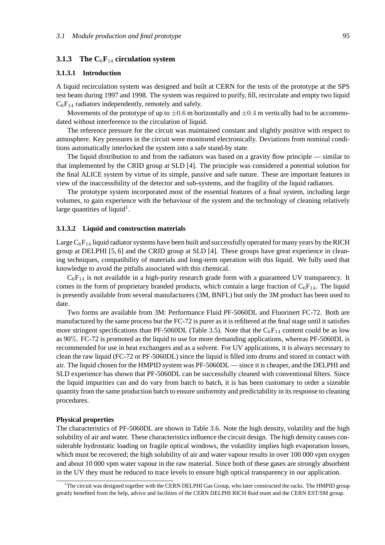# **3.1.3 The C**6**F**<sup>14</sup> **circulation system**

### **3.1.3.1 Introduction**

A liquid recirculation system was designed and built at CERN for the tests of the prototype at the SPS test beam during 1997 and 1998. The system was required to purify, fill, recirculate and empty two liquid  $C_6F_{14}$  radiators independently, remotely and safely.

Movements of the prototype of up to  $\pm 0.6$  m horizontally and  $\pm 0.4$  m vertically had to be accommodated without interference to the circulation of liquid.

The reference pressure for the circuit was maintained constant and slightly positive with respect to atmosphere. Key pressures in the circuit were monitored electronically. Deviations from nominal conditions automatically interlocked the system into a safe stand-by state.

The liquid distribution to and from the radiators was based on a gravity flow principle — similar to that implemented by the CRID group at SLD [4]. The principle was considered a potential solution for the final ALICE system by virtue of its simple, passive and safe nature. These are important features in view of the inaccessibility of the detector and sub-systems, and the fragility of the liquid radiators.

The prototype system incorporated most of the essential features of a final system, including large volumes, to gain experience with the behaviour of the system and the technology of cleaning relatively large quantities of liquid<sup>1</sup>.

#### **3.1.3.2 Liquid and construction materials**

Large  $C_6F_{14}$  liquid radiator systems have been built and successfully operated for many years by the RICH group at DELPHI [5, 6] and the CRID group at SLD [4]. These groups have great experience in cleaning techniques, compatibility of materials and long-term operation with this liquid. We fully used that knowledge to avoid the pitfalls associated with this chemical.

 $C_6F_{14}$  is not available in a high-purity research grade form with a guaranteed UV transparency. It comes in the form of proprietary branded products, which contain a large fraction of  $C_6F_{14}$ . The liquid is presently available from several manufacturers (3M, BNFL) but only the 3M product has been used to date.

Two forms are available from 3M: Performance Fluid PF-5060DL and Fluorinert FC-72. Both are manufactured by the same process but the FC-72 is purer as it is refiltered at the final stage until it satisfies more stringent specifications than PF-5060DL (Table 3.5). Note that the  $C_6F_{14}$  content could be as low as 90%. FC-72 is promoted as the liquid to use for more demanding applications, whereas PF-5060DL is recommended for use in heat exchangers and as a solvent. For UV applications, it is always necessary to clean the raw liquid (FC-72 or PF-5060DL) since the liquid is filled into drums and stored in contact with air. The liquid chosen for the HMPID system was PF-5060DL — since it is cheaper, and the DELPHI and SLD experience has shown that PF-5060DL can be successfully cleaned with conventional filters. Since the liquid impurities can and do vary from batch to batch, it is has been customary to order a sizeable quantity from the same production batch to ensure uniformity and predictability in its response to cleaning procedures.

#### **Physical properties**

The characteristics of PF-5060DL are shown in Table 3.6. Note the high density, volatility and the high solubility of air and water. These characteristics influence the circuit design. The high density causes considerable hydrostatic loading on fragile optical windows, the volatility implies high evaporation losses, which must be recovered; the high solubility of air and water vapour results in over 100 000 vpm oxygen and about 10 000 vpm water vapour in the raw material. Since both of these gases are strongly absorbent in the UV they must be reduced to trace levels to ensure high optical transparency in our application.

<sup>&</sup>lt;sup>1</sup>The circuit was designed together with the CERN DELPHI Gas Group, who later constructed the racks. The HMPID group greatly benefited from the help, advice and facilities of the CERN DELPHI RICH fluid team and the CERN EST/SM group.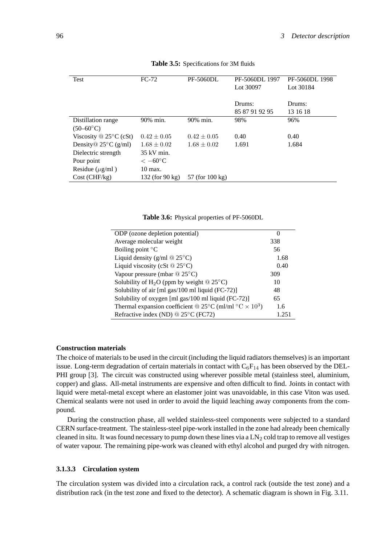| Test                               | $FC-72$            | <b>PF-5060DL</b>           | PF-5060DL 1997 | PF-5060DL 1998 |
|------------------------------------|--------------------|----------------------------|----------------|----------------|
|                                    |                    |                            | Lot 30097      | Lot 30184      |
|                                    |                    |                            |                |                |
|                                    |                    |                            | Drums:         | Drums:         |
|                                    |                    |                            | 85 87 91 92 95 | 13 16 18       |
| Distillation range                 | 90% min.           | 90% min.                   | 98%            | 96%            |
| $(50 - 60^{\circ}C)$               |                    |                            |                |                |
| Viscosity $\mathcal{Q}$ 25°C (cSt) | $0.42 \pm 0.05$    | $0.42 \pm 0.05$            | 0.40           | 0.40           |
| Density $\&$ 25 $\degree$ C (g/ml) | $1.68 \pm 0.02$    | $1.68 \pm 0.02$            | 1.691          | 1.684          |
| Dielectric strength                | $35$ kV min.       |                            |                |                |
| Pour point                         | $<-60^{\circ}$ C   |                            |                |                |
| Residue $(\mu g/ml)$               | $10 \text{ max}$ . |                            |                |                |
| Cost (CHF/kg)                      | 132 (for 90 kg)    | 57 (for $100 \text{ kg}$ ) |                |                |

**Table 3.5:** Specifications for 3M fluids

**Table 3.6:** Physical properties of PF-5060DL

| ODP (ozone depletion potential)                                                                | $\mathbf{U}$ |
|------------------------------------------------------------------------------------------------|--------------|
| Average molecular weight                                                                       | 338          |
| Boiling point $\mathrm{C}^{\circ}$                                                             | 56           |
| Liquid density (g/ml $@ 25°C$ )                                                                | 1.68         |
| Liquid viscosity (cSt $@25°C$ )                                                                | 0.40         |
| Vapour pressure (mbar $@ 25°C$ )                                                               | 309          |
| Solubility of H <sub>2</sub> O (ppm by weight $@ 25°C$ )                                       | 10           |
| Solubility of air [ml gas/100 ml liquid (FC-72)]                                               | 48           |
| Solubility of oxygen [ml gas/100 ml liquid (FC-72)]                                            | 65           |
| Thermal expansion coefficient @ 25 $^{\circ}$ C (ml/ml $^{\circ}$ C $\times$ 10 <sup>3</sup> ) | 1.6          |
| Refractive index (ND) @ 25°C (FC72)                                                            | 1.251        |

### **Construction materials**

The choice of materials to be used in the circuit (including the liquid radiators themselves) is an important issue. Long-term degradation of certain materials in contact with  $C_6F_{14}$  has been observed by the DEL-PHI group [3]. The circuit was constructed using wherever possible metal (stainless steel, aluminium, copper) and glass. All-metal instruments are expensive and often difficult to find. Joints in contact with liquid were metal-metal except where an elastomer joint was unavoidable, in this case Viton was used. Chemical sealants were not used in order to avoid the liquid leaching away components from the compound.

During the construction phase, all welded stainless-steel components were subjected to a standard CERN surface-treatment. The stainless-steel pipe-work installed in the zone had already been chemically cleaned in situ. It was found necessary to pump down these lines via a  $LN_2$  cold trap to remove all vestiges of water vapour. The remaining pipe-work was cleaned with ethyl alcohol and purged dry with nitrogen.

#### **3.1.3.3 Circulation system**

The circulation system was divided into a circulation rack, a control rack (outside the test zone) and a distribution rack (in the test zone and fixed to the detector). A schematic diagram is shown in Fig. 3.11.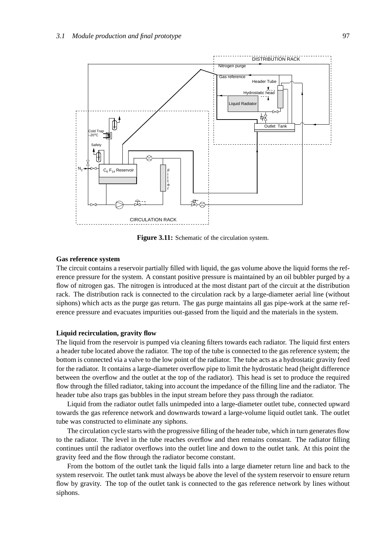

Figure 3.11: Schematic of the circulation system.

## **Gas reference system**

The circuit contains a reservoir partially filled with liquid, the gas volume above the liquid forms the reference pressure for the system. A constant positive pressure is maintained by an oil bubbler purged by a flow of nitrogen gas. The nitrogen is introduced at the most distant part of the circuit at the distribution rack. The distribution rack is connected to the circulation rack by a large-diameter aerial line (without siphons) which acts as the purge gas return. The gas purge maintains all gas pipe-work at the same reference pressure and evacuates impurities out-gassed from the liquid and the materials in the system.

### **Liquid recirculation, gravity flow**

The liquid from the reservoir is pumped via cleaning filters towards each radiator. The liquid first enters a header tube located above the radiator. The top of the tube is connected to the gas reference system; the bottom is connected via a valve to the low point of the radiator. The tube acts as a hydrostatic gravity feed for the radiator. It contains a large-diameter overflow pipe to limit the hydrostatic head (height difference between the overflow and the outlet at the top of the radiator). This head is set to produce the required flow through the filled radiator, taking into account the impedance of the filling line and the radiator. The header tube also traps gas bubbles in the input stream before they pass through the radiator.

Liquid from the radiator outlet falls unimpeded into a large-diameter outlet tube, connected upward towards the gas reference network and downwards toward a large-volume liquid outlet tank. The outlet tube was constructed to eliminate any siphons.

The circulation cycle starts with the progressive filling of the header tube, which in turn generates flow to the radiator. The level in the tube reaches overflow and then remains constant. The radiator filling continues until the radiator overflows into the outlet line and down to the outlet tank. At this point the gravity feed and the flow through the radiator become constant.

From the bottom of the outlet tank the liquid falls into a large diameter return line and back to the system reservoir. The outlet tank must always be above the level of the system reservoir to ensure return flow by gravity. The top of the outlet tank is connected to the gas reference network by lines without siphons.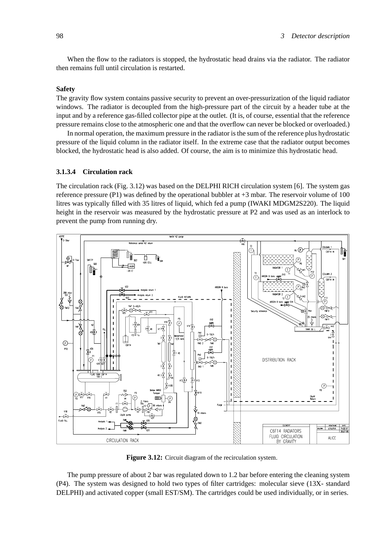When the flow to the radiators is stopped, the hydrostatic head drains via the radiator. The radiator then remains full until circulation is restarted.

# **Safety**

The gravity flow system contains passive security to prevent an over-pressurization of the liquid radiator windows. The radiator is decoupled from the high-pressure part of the circuit by a header tube at the input and by a reference gas-filled collector pipe at the outlet. (It is, of course, essential that the reference pressure remains close to the atmospheric one and that the overflow can never be blocked or overloaded.)

In normal operation, the maximum pressure in the radiator is the sum of the reference plus hydrostatic pressure of the liquid column in the radiator itself. In the extreme case that the radiator output becomes blocked, the hydrostatic head is also added. Of course, the aim is to minimize this hydrostatic head.

### **3.1.3.4 Circulation rack**

The circulation rack (Fig. 3.12) was based on the DELPHI RICH circulation system [6]. The system gas reference pressure (P1) was defined by the operational bubbler at +3 mbar. The reservoir volume of 100 litres was typically filled with 35 litres of liquid, which fed a pump (IWAKI MDGM2S220). The liquid height in the reservoir was measured by the hydrostatic pressure at P2 and was used as an interlock to prevent the pump from running dry.



**Figure 3.12:** Circuit diagram of the recirculation system.

The pump pressure of about 2 bar was regulated down to 1.2 bar before entering the cleaning system (P4). The system was designed to hold two types of filter cartridges: molecular sieve (13X- standard DELPHI) and activated copper (small EST/SM). The cartridges could be used individually, or in series.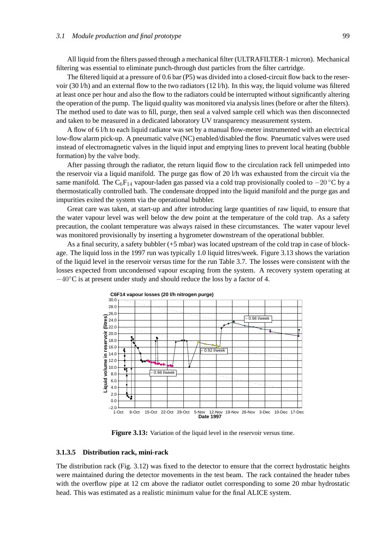All liquid from the filters passed through a mechanical filter (ULTRAFILTER-1 micron). Mechanical filtering was essential to eliminate punch-through dust particles from the filter cartridge.

The filtered liquid at a pressure of 0.6 bar (P5) was divided into a closed-circuit flow back to the reservoir (30 l/h) and an external flow to the two radiators (12 l/h). In this way, the liquid volume was filtered at least once per hour and also the flow to the radiators could be interrupted without significantly altering the operation of the pump. The liquid quality was monitored via analysis lines (before or after the filters). The method used to date was to fill, purge, then seal a valved sample cell which was then disconnected and taken to be measured in a dedicated laboratory UV transparency measurement system.

A flow of 6 l/h to each liquid radiator was set by a manual flow-meter instrumented with an electrical low-flow alarm pick-up. A pneumatic valve (NC) enabled/disabled the flow. Pneumatic valves were used instead of electromagnetic valves in the liquid input and emptying lines to prevent local heating (bubble formation) by the valve body.

After passing through the radiator, the return liquid flow to the circulation rack fell unimpeded into the reservoir via a liquid manifold. The purge gas flow of 20 l/h was exhausted from the circuit via the same manifold. The C<sub>6</sub>F<sub>14</sub> vapour-laden gas passed via a cold trap provisionally cooled to  $-20$  °C by a thermostatically controlled bath. The condensate dropped into the liquid manifold and the purge gas and impurities exited the system via the operational bubbler.

Great care was taken, at start-up and after introducing large quantities of raw liquid, to ensure that the water vapour level was well below the dew point at the temperature of the cold trap. As a safety precaution, the coolant temperature was always raised in these circumstances. The water vapour level was monitored provisionally by inserting a hygrometer downstream of the operational bubbler.

As a final security, a safety bubbler (+5 mbar) was located upstream of the cold trap in case of blockage. The liquid loss in the 1997 run was typically 1.0 liquid litres/week. Figure 3.13 shows the variation of the liquid level in the reservoir versus time for the run Table 3.7. The losses were consistent with the losses expected from uncondensed vapour escaping from the system. A recovery system operating at  $-40\degree$ C is at present under study and should reduce the loss by a factor of 4.



**Figure 3.13:** Variation of the liquid level in the reservoir versus time.

#### **3.1.3.5 Distribution rack, mini-rack**

The distribution rack (Fig. 3.12) was fixed to the detector to ensure that the correct hydrostatic heights were maintained during the detector movements in the test beam. The rack contained the header tubes with the overflow pipe at 12 cm above the radiator outlet corresponding to some 20 mbar hydrostatic head. This was estimated as a realistic minimum value for the final ALICE system.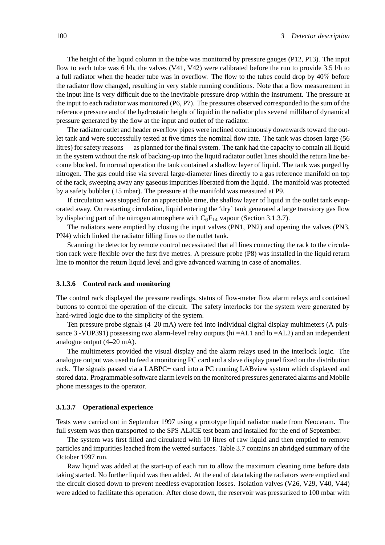The height of the liquid column in the tube was monitored by pressure gauges (P12, P13). The input flow to each tube was 6 l/h, the valves  $(V41, V42)$  were calibrated before the run to provide 3.5 l/h to a full radiator when the header tube was in overflow. The flow to the tubes could drop by 40% before the radiator flow changed, resulting in very stable running conditions. Note that a flow measurement in the input line is very difficult due to the inevitable pressure drop within the instrument. The pressure at the input to each radiator was monitored (P6, P7). The pressures observed corresponded to the sum of the reference pressure and of the hydrostatic height of liquid in the radiator plus several millibar of dynamical pressure generated by the flow at the input and outlet of the radiator.

The radiator outlet and header overflow pipes were inclined continuously downwards toward the outlet tank and were successfully tested at five times the nominal flow rate. The tank was chosen large (56 litres) for safety reasons — as planned for the final system. The tank had the capacity to contain all liquid in the system without the risk of backing-up into the liquid radiator outlet lines should the return line become blocked. In normal operation the tank contained a shallow layer of liquid. The tank was purged by nitrogen. The gas could rise via several large-diameter lines directly to a gas reference manifold on top of the rack, sweeping away any gaseous impurities liberated from the liquid. The manifold was protected by a safety bubbler (+5 mbar). The pressure at the manifold was measured at P9.

If circulation was stopped for an appreciable time, the shallow layer of liquid in the outlet tank evaporated away. On restarting circulation, liquid entering the 'dry' tank generated a large transitory gas flow by displacing part of the nitrogen atmosphere with  $C_6F_{14}$  vapour (Section 3.1.3.7).

The radiators were emptied by closing the input valves (PN1, PN2) and opening the valves (PN3, PN4) which linked the radiator filling lines to the outlet tank.

Scanning the detector by remote control necessitated that all lines connecting the rack to the circulation rack were flexible over the first five metres. A pressure probe (P8) was installed in the liquid return line to monitor the return liquid level and give advanced warning in case of anomalies.

## **3.1.3.6 Control rack and monitoring**

The control rack displayed the pressure readings, status of flow-meter flow alarm relays and contained buttons to control the operation of the circuit. The safety interlocks for the system were generated by hard-wired logic due to the simplicity of the system.

Ten pressure probe signals (4–20 mA) were fed into individual digital display multimeters (A puissance 3 -VUP391) possessing two alarm-level relay outputs (hi =AL1 and lo =AL2) and an independent analogue output (4–20 mA).

The multimeters provided the visual display and the alarm relays used in the interlock logic. The analogue output was used to feed a monitoring PC card and a slave display panel fixed on the distribution rack. The signals passed via a LABPC+ card into a PC running LABview system which displayed and stored data. Programmable software alarm levels on the monitored pressures generated alarms and Mobile phone messages to the operator.

#### **3.1.3.7 Operational experience**

Tests were carried out in September 1997 using a prototype liquid radiator made from Neoceram. The full system was then transported to the SPS ALICE test beam and installed for the end of September.

The system was first filled and circulated with 10 litres of raw liquid and then emptied to remove particles and impurities leached from the wetted surfaces. Table 3.7 contains an abridged summary of the October 1997 run.

Raw liquid was added at the start-up of each run to allow the maximum cleaning time before data taking started. No further liquid was then added. At the end of data taking the radiators were emptied and the circuit closed down to prevent needless evaporation losses. Isolation valves (V26, V29, V40, V44) were added to facilitate this operation. After close down, the reservoir was pressurized to 100 mbar with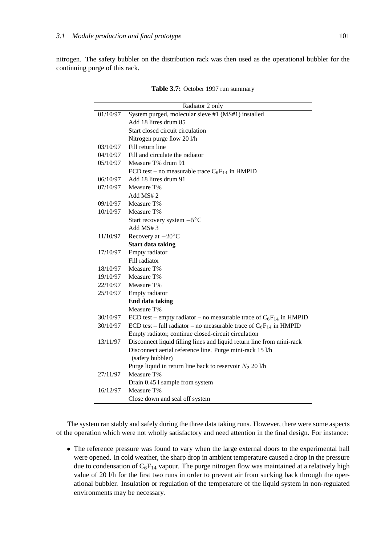nitrogen. The safety bubbler on the distribution rack was then used as the operational bubbler for the continuing purge of this rack.

|          | Radiator 2 only                                                              |
|----------|------------------------------------------------------------------------------|
| 01/10/97 | System purged, molecular sieve #1 (MS#1) installed                           |
|          | Add 18 litres drum 85                                                        |
|          | Start closed circuit circulation                                             |
|          | Nitrogen purge flow 20 l/h                                                   |
| 03/10/97 | Fill return line                                                             |
| 04/10/97 | Fill and circulate the radiator                                              |
| 05/10/97 | Measure T% drum 91                                                           |
|          | ECD test – no measurable trace $C_6F_{14}$ in HMPID                          |
| 06/10/97 | Add 18 litres drum 91                                                        |
| 07/10/97 | Measure T%                                                                   |
|          | Add MS#2                                                                     |
| 09/10/97 | Measure T%                                                                   |
| 10/10/97 | Measure T%                                                                   |
|          | Start recovery system $-5^{\circ}$ C                                         |
|          | Add $MS#3$                                                                   |
| 11/10/97 | Recovery at $-20^{\circ}$ C                                                  |
|          | <b>Start data taking</b>                                                     |
| 17/10/97 | Empty radiator                                                               |
|          | Fill radiator                                                                |
| 18/10/97 | Measure T%                                                                   |
| 19/10/97 | Measure T%                                                                   |
| 22/10/97 | Measure T%                                                                   |
| 25/10/97 | Empty radiator                                                               |
|          | <b>End data taking</b>                                                       |
|          | Measure T%                                                                   |
| 30/10/97 | ECD test – empty radiator – no measurable trace of $C_6F_{14}$ in HMPID      |
| 30/10/97 | ECD test – full radiator – no measurable trace of $C_6F_{14}$ in HMPID       |
|          | Empty radiator, continue closed-circuit circulation                          |
| 13/11/97 | Disconnect liquid filling lines and liquid return line from mini-rack        |
|          | Disconnect aerial reference line. Purge mini-rack 15 l/h<br>(safety bubbler) |
|          | Purge liquid in return line back to reservoir $N_2$ 20 l/h                   |
| 27/11/97 | Measure T%                                                                   |
|          | Drain 0.45 l sample from system                                              |
| 16/12/97 | Measure T%                                                                   |
|          | Close down and seal off system                                               |

Table 3.7: October 1997 run summary

The system ran stably and safely during the three data taking runs. However, there were some aspects of the operation which were not wholly satisfactory and need attention in the final design. For instance:

• The reference pressure was found to vary when the large external doors to the experimental hall were opened. In cold weather, the sharp drop in ambient temperature caused a drop in the pressure due to condensation of  $C_6F_{14}$  vapour. The purge nitrogen flow was maintained at a relatively high value of 20 l/h for the first two runs in order to prevent air from sucking back through the operational bubbler. Insulation or regulation of the temperature of the liquid system in non-regulated environments may be necessary.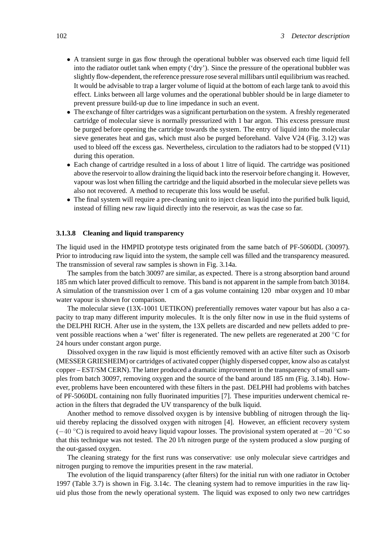- A transient surge in gas flow through the operational bubbler was observed each time liquid fell into the radiator outlet tank when empty ('dry'). Since the pressure of the operational bubbler was slightly flow-dependent, the reference pressure rose several millibars until equilibrium was reached. It would be advisable to trap a larger volume of liquid at the bottom of each large tank to avoid this effect. Links between all large volumes and the operational bubbler should be in large diameter to prevent pressure build-up due to line impedance in such an event.
- The exchange of filter cartridges was a significant perturbation on the system. A freshly regenerated cartridge of molecular sieve is normally pressurized with 1 bar argon. This excess pressure must be purged before opening the cartridge towards the system. The entry of liquid into the molecular sieve generates heat and gas, which must also be purged beforehand. Valve V24 (Fig. 3.12) was used to bleed off the excess gas. Nevertheless, circulation to the radiators had to be stopped (V11) during this operation.
- Each change of cartridge resulted in a loss of about 1 litre of liquid. The cartridge was positioned above the reservoir to allow draining the liquid back into the reservoir before changing it. However, vapour was lost when filling the cartridge and the liquid absorbed in the molecular sieve pellets was also not recovered. A method to recuperate this loss would be useful.
- The final system will require a pre-cleaning unit to inject clean liquid into the purified bulk liquid, instead of filling new raw liquid directly into the reservoir, as was the case so far.

# **3.1.3.8 Cleaning and liquid transparency**

The liquid used in the HMPID prototype tests originated from the same batch of PF-5060DL (30097). Prior to introducing raw liquid into the system, the sample cell was filled and the transparency measured. The transmission of several raw samples is shown in Fig. 3.14a.

The samples from the batch 30097 are similar, as expected. There is a strong absorption band around 185 nm which later proved difficult to remove. This band is not apparent in the sample from batch 30184. A simulation of the transmission over 1 cm of a gas volume containing 120 mbar oxygen and 10 mbar water vapour is shown for comparison.

The molecular sieve (13X-1001 UETIKON) preferentially removes water vapour but has also a capacity to trap many different impurity molecules. It is the only filter now in use in the fluid systems of the DELPHI RICH. After use in the system, the 13X pellets are discarded and new pellets added to prevent possible reactions when a 'wet' filter is regenerated. The new pellets are regenerated at 200 ◦C for 24 hours under constant argon purge.

Dissolved oxygen in the raw liquid is most efficiently removed with an active filter such as Oxisorb (MESSER GRIESHEIM) or cartridges of activated copper (highly dispersed copper, know also as catalyst copper – EST/SM CERN). The latter produced a dramatic improvement in the transparency of small samples from batch 30097, removing oxygen and the source of the band around 185 nm (Fig. 3.14b). However, problems have been encountered with these filters in the past. DELPHI had problems with batches of PF-5060DL containing non fully fluorinated impurities [7]. These impurities underwent chemical reaction in the filters that degraded the UV transparency of the bulk liquid.

Another method to remove dissolved oxygen is by intensive bubbling of nitrogen through the liquid thereby replacing the dissolved oxygen with nitrogen [4]. However, an efficient recovery system  $(-40 °C)$  is required to avoid heavy liquid vapour losses. The provisional system operated at  $-20 °C$  so that this technique was not tested. The 20 l/h nitrogen purge of the system produced a slow purging of the out-gassed oxygen.

The cleaning strategy for the first runs was conservative: use only molecular sieve cartridges and nitrogen purging to remove the impurities present in the raw material.

The evolution of the liquid transparency (after filters) for the initial run with one radiator in October 1997 (Table 3.7) is shown in Fig. 3.14c. The cleaning system had to remove impurities in the raw liquid plus those from the newly operational system. The liquid was exposed to only two new cartridges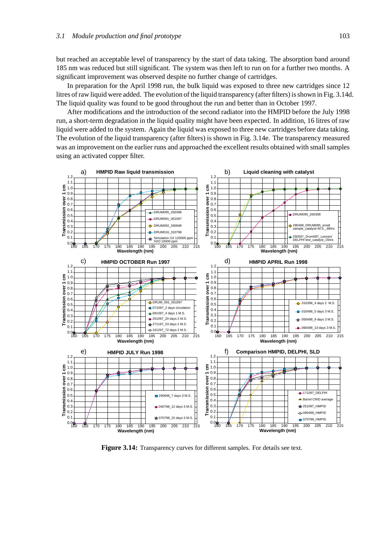but reached an acceptable level of transparency by the start of data taking. The absorption band around 185 nm was reduced but still significant. The system was then left to run on for a further two months. A significant improvement was observed despite no further change of cartridges.

In preparation for the April 1998 run, the bulk liquid was exposed to three new cartridges since 12 litres of raw liquid were added. The evolution of the liquid transparency (after filters) is shown in Fig. 3.14d. The liquid quality was found to be good throughout the run and better than in October 1997.

After modifications and the introduction of the second radiator into the HMPID before the July 1998 run, a short-term degradation in the liquid quality might have been expected. In addition, 16 litres of raw liquid were added to the system. Again the liquid was exposed to three new cartridges before data taking. The evolution of the liquid transparency (after filters) is shown in Fig. 3.14e. The transparency measured was an improvement on the earlier runs and approached the excellent results obtained with small samples using an activated copper filter.



**Figure 3.14:** Transparency curves for different samples. For details see text.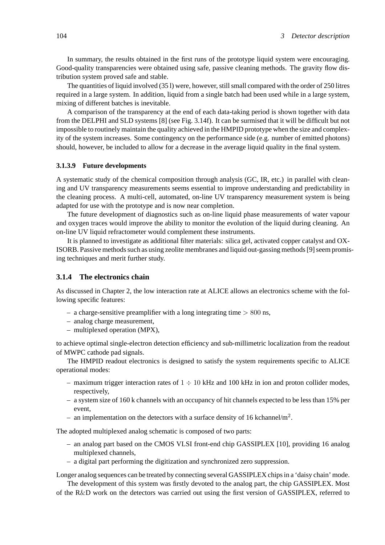In summary, the results obtained in the first runs of the prototype liquid system were encouraging. Good-quality transparencies were obtained using safe, passive cleaning methods. The gravity flow distribution system proved safe and stable.

The quantities of liquid involved (35 l) were, however, still small compared with the order of 250 litres required in a large system. In addition, liquid from a single batch had been used while in a large system, mixing of different batches is inevitable.

A comparison of the transparency at the end of each data-taking period is shown together with data from the DELPHI and SLD systems [8] (see Fig. 3.14f). It can be surmised that it will be difficult but not impossible to routinely maintain the quality achieved in the HMPID prototype when the size and complexity of the system increases. Some contingency on the performance side (e.g. number of emitted photons) should, however, be included to allow for a decrease in the average liquid quality in the final system.

# **3.1.3.9 Future developments**

A systematic study of the chemical composition through analysis (GC, IR, etc.) in parallel with cleaning and UV transparency measurements seems essential to improve understanding and predictability in the cleaning process. A multi-cell, automated, on-line UV transparency measurement system is being adapted for use with the prototype and is now near completion.

The future development of diagnostics such as on-line liquid phase measurements of water vapour and oxygen traces would improve the ability to monitor the evolution of the liquid during cleaning. An on-line UV liquid refractometer would complement these instruments.

It is planned to investigate as additional filter materials: silica gel, activated copper catalyst and OX-ISORB. Passive methods such as using zeolite membranes and liquid out-gassing methods [9] seem promising techniques and merit further study.

# **3.1.4 The electronics chain**

As discussed in Chapter 2, the low interaction rate at ALICE allows an electronics scheme with the following specific features:

- a charge-sensitive preamplifier with a long integrating time *>* 800 ns,
- analog charge measurement,
- multiplexed operation (MPX),

to achieve optimal single-electron detection efficiency and sub-millimetric localization from the readout of MWPC cathode pad signals.

The HMPID readout electronics is designed to satisfy the system requirements specific to ALICE operational modes:

- maximum trigger interaction rates of  $1 \div 10$  kHz and 100 kHz in ion and proton collider modes, respectively,
- a system size of 160 k channels with an occupancy of hit channels expected to be less than 15% per event,
- an implementation on the detectors with a surface density of 16 kchannel/ $m^2$ .

The adopted multiplexed analog schematic is composed of two parts:

- an analog part based on the CMOS VLSI front-end chip GASSIPLEX [10], providing 16 analog multiplexed channels,
- a digital part performing the digitization and synchronized zero suppression.

Longer analog sequences can be treated by connecting several GASSIPLEX chips in a 'daisy chain' mode.

The development of this system was firstly devoted to the analog part, the chip GASSIPLEX. Most of the R&D work on the detectors was carried out using the first version of GASSIPLEX, referred to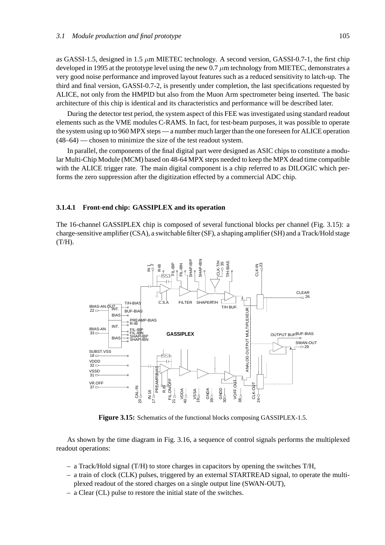as GASSI-1.5, designed in 1.5 *µ*m MIETEC technology. A second version, GASSI-0.7-1, the first chip developed in 1995 at the prototype level using the new 0.7 *µ*m technology from MIETEC, demonstrates a very good noise performance and improved layout features such as a reduced sensitivity to latch-up. The third and final version, GASSI-0.7-2, is presently under completion, the last specifications requested by ALICE, not only from the HMPID but also from the Muon Arm spectrometer being inserted. The basic architecture of this chip is identical and its characteristics and performance will be described later.

During the detector test period, the system aspect of this FEE was investigated using standard readout elements such as the VME modules C-RAMS. In fact, for test-beam purposes, it was possible to operate the system using up to 960 MPX steps — a number much larger than the one foreseen for ALICE operation (48–64) — chosen to minimize the size of the test readout system.

In parallel, the components of the final digital part were designed as ASIC chips to constitute a modular Multi-Chip Module (MCM) based on 48-64 MPX steps needed to keep the MPX dead time compatible with the ALICE trigger rate. The main digital component is a chip referred to as DILOGIC which performs the zero suppression after the digitization effected by a commercial ADC chip.

#### **3.1.4.1 Front-end chip: GASSIPLEX and its operation**

The 16-channel GASSIPLEX chip is composed of several functional blocks per channel (Fig. 3.15): a charge-sensitive amplifier (CSA), a switchable filter (SF), a shaping amplifier (SH) and a Track/Hold stage  $(T/H).$ 



**Figure 3.15:** Schematics of the functional blocks composing GASSIPLEX-1.5.

As shown by the time diagram in Fig. 3.16, a sequence of control signals performs the multiplexed readout operations:

- a Track/Hold signal (T/H) to store charges in capacitors by opening the switches T/H,
- a train of clock (CLK) pulses, triggered by an external STARTREAD signal, to operate the multiplexed readout of the stored charges on a single output line (SWAN-OUT),
- a Clear (CL) pulse to restore the initial state of the switches.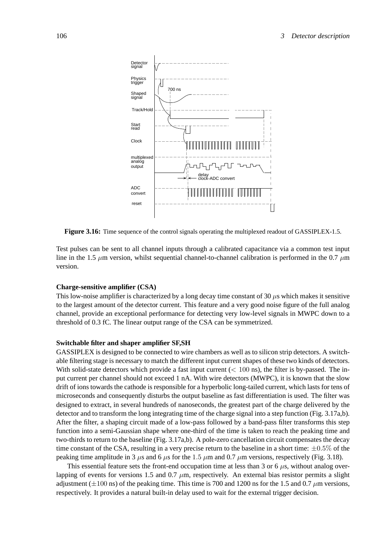

**Figure 3.16:** Time sequence of the control signals operating the multiplexed readout of GASSIPLEX-1.5.

Test pulses can be sent to all channel inputs through a calibrated capacitance via a common test input line in the 1.5 *µ*m version, whilst sequential channel-to-channel calibration is performed in the 0.7 *µ*m version.

#### **Charge-sensitive amplifier (CSA)**

This low-noise amplifier is characterized by a long decay time constant of 30  $\mu$ s which makes it sensitive to the largest amount of the detector current. This feature and a very good noise figure of the full analog channel, provide an exceptional performance for detecting very low-level signals in MWPC down to a threshold of 0.3 fC. The linear output range of the CSA can be symmetrized.

#### **Switchable filter and shaper amplifier SF,SH**

GASSIPLEX is designed to be connected to wire chambers as well as to silicon strip detectors. A switchable filtering stage is necessary to match the different input current shapes of these two kinds of detectors. With solid-state detectors which provide a fast input current ( $\lt$  100 ns), the filter is by-passed. The input current per channel should not exceed 1 nA. With wire detectors (MWPC), it is known that the slow drift of ions towards the cathode is responsible for a hyperbolic long-tailed current, which lasts for tens of microseconds and consequently disturbs the output baseline as fast differentiation is used. The filter was designed to extract, in several hundreds of nanoseconds, the greatest part of the charge delivered by the detector and to transform the long integrating time of the charge signal into a step function (Fig. 3.17a,b). After the filter, a shaping circuit made of a low-pass followed by a band-pass filter transforms this step function into a semi-Gaussian shape where one-third of the time is taken to reach the peaking time and two-thirds to return to the baseline (Fig. 3.17a,b). A pole-zero cancellation circuit compensates the decay time constant of the CSA, resulting in a very precise return to the baseline in a short time:  $\pm 0.5\%$  of the peaking time amplitude in 3  $\mu$ s and 6  $\mu$ s for the 1.5  $\mu$ m and 0.7  $\mu$ m versions, respectively (Fig. 3.18).

This essential feature sets the front-end occupation time at less than 3 or 6  $\mu$ s, without analog overlapping of events for versions 1.5 and 0.7  $\mu$ m, respectively. An external bias resistor permits a slight adjustment  $(\pm 100 \text{ ns})$  of the peaking time. This time is 700 and 1200 ns for the 1.5 and 0.7  $\mu$ m versions, respectively. It provides a natural built-in delay used to wait for the external trigger decision.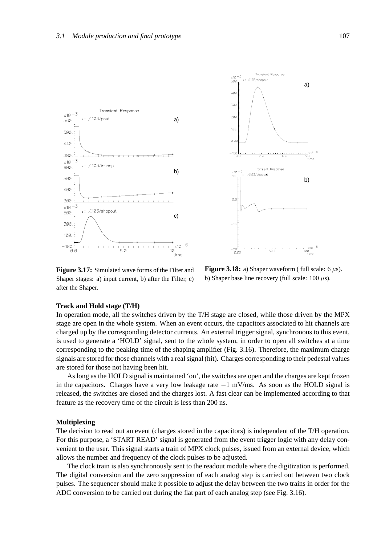



**Figure 3.17:** Simulated wave forms of the Filter and Shaper stages: a) input current, b) after the Filter, c) after the Shaper.

**Figure 3.18:** a) Shaper waveform ( full scale:  $6 \mu s$ ). b) Shaper base line recovery (full scale: 100 *µ*s).

#### **Track and Hold stage (T/H)**

In operation mode, all the switches driven by the T/H stage are closed, while those driven by the MPX stage are open in the whole system. When an event occurs, the capacitors associated to hit channels are charged up by the corresponding detector currents. An external trigger signal, synchronous to this event, is used to generate a 'HOLD' signal, sent to the whole system, in order to open all switches at a time corresponding to the peaking time of the shaping amplifier (Fig. 3.16). Therefore, the maximum charge signals are stored for those channels with a real signal (hit). Charges corresponding to their pedestal values are stored for those not having been hit.

As long as the HOLD signal is maintained 'on', the switches are open and the charges are kept frozen in the capacitors. Charges have a very low leakage rate −1 mV/ms. As soon as the HOLD signal is released, the switches are closed and the charges lost. A fast clear can be implemented according to that feature as the recovery time of the circuit is less than 200 ns.

# **Multiplexing**

The decision to read out an event (charges stored in the capacitors) is independent of the T/H operation. For this purpose, a 'START READ' signal is generated from the event trigger logic with any delay convenient to the user. This signal starts a train of MPX clock pulses, issued from an external device, which allows the number and frequency of the clock pulses to be adjusted.

The clock train is also synchronously sent to the readout module where the digitization is performed. The digital conversion and the zero suppression of each analog step is carried out between two clock pulses. The sequencer should make it possible to adjust the delay between the two trains in order for the ADC conversion to be carried out during the flat part of each analog step (see Fig. 3.16).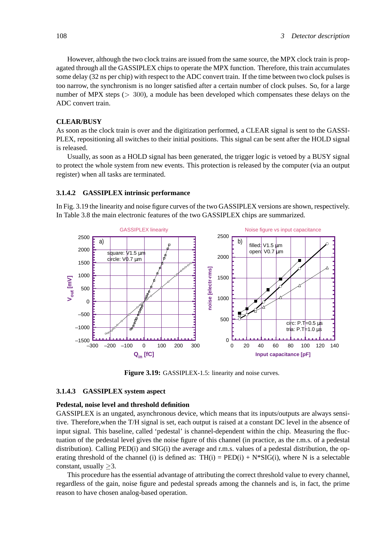However, although the two clock trains are issued from the same source, the MPX clock train is propagated through all the GASSIPLEX chips to operate the MPX function. Therefore, this train accumulates some delay (32 ns per chip) with respect to the ADC convert train. If the time between two clock pulses is too narrow, the synchronism is no longer satisfied after a certain number of clock pulses. So, for a large number of MPX steps (*>* 300), a module has been developed which compensates these delays on the ADC convert train.

# **CLEAR/BUSY**

As soon as the clock train is over and the digitization performed, a CLEAR signal is sent to the GASSI-PLEX, repositioning all switches to their initial positions. This signal can be sent after the HOLD signal is released.

Usually, as soon as a HOLD signal has been generated, the trigger logic is vetoed by a BUSY signal to protect the whole system from new events. This protection is released by the computer (via an output register) when all tasks are terminated.

# **3.1.4.2 GASSIPLEX intrinsic performance**

In Fig. 3.19 the linearity and noise figure curves of the two GASSIPLEX versions are shown, respectively. In Table 3.8 the main electronic features of the two GASSIPLEX chips are summarized.



Figure 3.19: GASSIPLEX-1.5: linearity and noise curves.

#### **3.1.4.3 GASSIPLEX system aspect**

# **Pedestal, noise level and threshold definition**

GASSIPLEX is an ungated, asynchronous device, which means that its inputs/outputs are always sensitive. Therefore,when the T/H signal is set, each output is raised at a constant DC level in the absence of input signal. This baseline, called 'pedestal' is channel-dependent within the chip. Measuring the fluctuation of the pedestal level gives the noise figure of this channel (in practice, as the r.m.s. of a pedestal distribution). Calling PED(i) and SIG(i) the average and r.m.s. values of a pedestal distribution, the operating threshold of the channel (i) is defined as:  $TH(i) = PED(i) + N*SIG(i)$ , where N is a selectable constant, usually ≥3.

This procedure has the essential advantage of attributing the correct threshold value to every channel, regardless of the gain, noise figure and pedestal spreads among the channels and is, in fact, the prime reason to have chosen analog-based operation.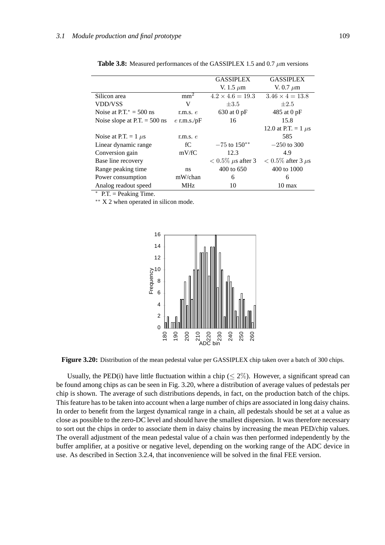|                                |                  | <b>GASSIPLEX</b>          | <b>GASSIPLEX</b>          |
|--------------------------------|------------------|---------------------------|---------------------------|
|                                |                  | V. 1.5 $\mu$ m            | V. 0.7 $\mu$ m            |
| Silicon area                   | mm <sup>2</sup>  | $4.2 \times 4.6 = 19.3$   | $3.46 \times 4 = 13.8$    |
| <b>VDD/VSS</b>                 | V                | $\pm 3.5$                 | $\pm 2.5$                 |
| Noise at $PT^* = 500$ ns       | r.m.s. $e$       | $630$ at 0 pF             | 485 at 0 pF               |
| Noise slope at P.T. $= 500$ ns | $e$ r.m.s./ $pF$ | 16                        | 15.8                      |
|                                |                  |                           | 12.0 at P.T. = 1 $\mu$ s  |
| Noise at P.T. = $1 \mu s$      | r.m.s. $e$       |                           | 585                       |
| Linear dynamic range           | fC               | $-75$ to $150**$          | $-250$ to 300             |
| Conversion gain                | mV/fC            | 12.3                      | 4.9                       |
| Base line recovery             |                  | $< 0.5\%$ $\mu$ s after 3 | $< 0.5\%$ after 3 $\mu$ s |
| Range peaking time.            | ns               | 400 to 650                | $400 \text{ to } 1000$    |
| Power consumption              | mW/chan          | 6                         | 6                         |
| Analog readout speed           | <b>MHz</b>       | 10                        | $10 \text{ max}$          |

**Table 3.8:** Measured performances of the GASSIPLEX 1.5 and 0.7 *µ*m versions

 $*$  P.T. = Peaking Time.

∗∗ X 2 when operated in silicon mode.



**Figure 3.20:** Distribution of the mean pedestal value per GASSIPLEX chip taken over a batch of 300 chips.

Usually, the PED(i) have little fluctuation within a chip ( $\leq 2\%$ ). However, a significant spread can be found among chips as can be seen in Fig. 3.20, where a distribution of average values of pedestals per chip is shown. The average of such distributions depends, in fact, on the production batch of the chips. This feature has to be taken into account when a large number of chips are associated in long daisy chains. In order to benefit from the largest dynamical range in a chain, all pedestals should be set at a value as close as possible to the zero-DC level and should have the smallest dispersion. It was therefore necessary to sort out the chips in order to associate them in daisy chains by increasing the mean PED/chip values. The overall adjustment of the mean pedestal value of a chain was then performed independently by the buffer amplifier, at a positive or negative level, depending on the working range of the ADC device in use. As described in Section 3.2.4, that inconvenience will be solved in the final FEE version.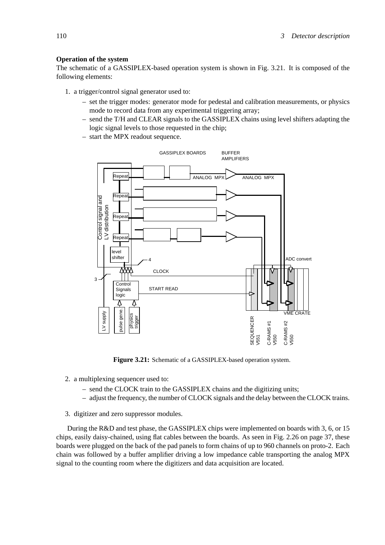## **Operation of the system**

The schematic of a GASSIPLEX-based operation system is shown in Fig. 3.21. It is composed of the following elements:

- 1. a trigger/control signal generator used to:
	- set the trigger modes: generator mode for pedestal and calibration measurements, or physics mode to record data from any experimental triggering array;
	- send the T/H and CLEAR signals to the GASSIPLEX chains using level shifters adapting the logic signal levels to those requested in the chip;
	- start the MPX readout sequence.



**Figure 3.21:** Schematic of a GASSIPLEX-based operation system.

- 2. a multiplexing sequencer used to:
	- send the CLOCK train to the GASSIPLEX chains and the digitizing units;
	- adjust the frequency, the number of CLOCK signals and the delay between the CLOCK trains.
- 3. digitizer and zero suppressor modules.

During the R&D and test phase, the GASSIPLEX chips were implemented on boards with 3, 6, or 15 chips, easily daisy-chained, using flat cables between the boards. As seen in Fig. 2.26 on page 37, these boards were plugged on the back of the pad panels to form chains of up to 960 channels on proto-2. Each chain was followed by a buffer amplifier driving a low impedance cable transporting the analog MPX signal to the counting room where the digitizers and data acquisition are located.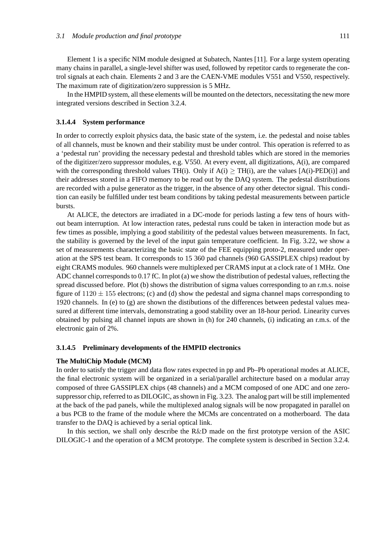Element 1 is a specific NIM module designed at Subatech, Nantes [11]. For a large system operating many chains in parallel, a single-level shifter was used, followed by repetitor cards to regenerate the control signals at each chain. Elements 2 and 3 are the CAEN-VME modules V551 and V550, respectively. The maximum rate of digitization/zero suppression is 5 MHz.

In the HMPID system, all these elements will be mounted on the detectors, necessitating the new more integrated versions described in Section 3.2.4.

### **3.1.4.4 System performance**

In order to correctly exploit physics data, the basic state of the system, i.e. the pedestal and noise tables of all channels, must be known and their stability must be under control. This operation is referred to as a 'pedestal run' providing the necessary pedestal and threshold tables which are stored in the memories of the digitizer/zero suppressor modules, e.g. V550. At every event, all digitizations, A(i), are compared with the corresponding threshold values TH(i). Only if  $A(i) \geq TH(i)$ , are the values  $[A(i)$ -PED(i)] and their addresses stored in a FIFO memory to be read out by the DAQ system. The pedestal distributions are recorded with a pulse generator as the trigger, in the absence of any other detector signal. This condition can easily be fulfilled under test beam conditions by taking pedestal measurements between particle bursts.

At ALICE, the detectors are irradiated in a DC-mode for periods lasting a few tens of hours without beam interruption. At low interaction rates, pedestal runs could be taken in interaction mode but as few times as possible, implying a good stabilitity of the pedestal values between measurements. In fact, the stability is governed by the level of the input gain temperature coefficient. In Fig. 3.22, we show a set of measurements characterizing the basic state of the FEE equipping proto-2, measured under operation at the SPS test beam. It corresponds to 15 360 pad channels (960 GASSIPLEX chips) readout by eight CRAMS modules. 960 channels were multiplexed per CRAMS input at a clock rate of 1 MHz. One ADC channel corresponds to 0.17 fC. In plot (a) we show the distribution of pedestal values, reflecting the spread discussed before. Plot (b) shows the distribution of sigma values corresponding to an r.m.s. noise figure of  $1120 \pm 155$  electrons; (c) and (d) show the pedestal and sigma channel maps corresponding to 1920 channels. In (e) to (g) are shown the distibutions of the differences between pedestal values measured at different time intervals, demonstrating a good stability over an 18-hour period. Linearity curves obtained by pulsing all channel inputs are shown in (h) for 240 channels, (i) indicating an r.m.s. of the electronic gain of 2%.

#### **3.1.4.5 Preliminary developments of the HMPID electronics**

#### **The MultiChip Module (MCM)**

In order to satisfy the trigger and data flow rates expected in pp and Pb–Pb operational modes at ALICE, the final electronic system will be organized in a serial/parallel architecture based on a modular array composed of three GASSIPLEX chips (48 channels) and a MCM composed of one ADC and one zerosuppressor chip, referred to as DILOGIC, as shown in Fig. 3.23. The analog part will be still implemented at the back of the pad panels, while the multiplexed analog signals will be now propagated in parallel on a bus PCB to the frame of the module where the MCMs are concentrated on a motherboard. The data transfer to the DAQ is achieved by a serial optical link.

In this section, we shall only describe the R&D made on the first prototype version of the ASIC DILOGIC-1 and the operation of a MCM prototype. The complete system is described in Section 3.2.4.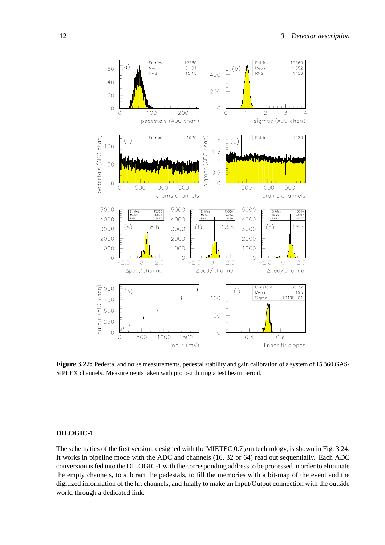

**Figure 3.22:** Pedestal and noise measurements, pedestal stability and gain calibration of a system of 15 360 GAS-SIPLEX channels. Measurements taken with proto-2 during a test beam period.

# **DILOGIC-1**

The schematics of the first version, designed with the MIETEC 0.7  $\mu$ m technology, is shown in Fig. 3.24. It works in pipeline mode with the ADC and channels (16, 32 or 64) read out sequentially. Each ADC conversion is fed into the DILOGIC-1 with the corresponding address to be processed in order to eliminate the empty channels, to subtract the pedestals, to fill the memories with a bit-map of the event and the digitized information of the hit channels, and finally to make an Input/Output connection with the outside world through a dedicated link.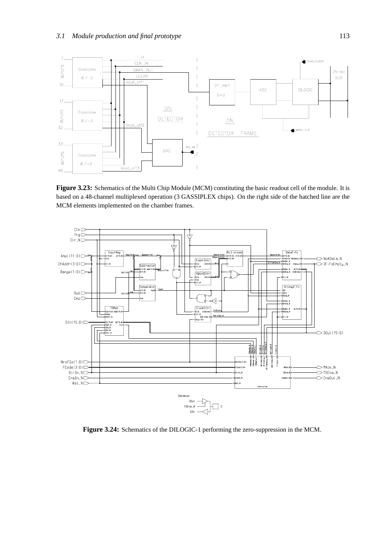

**Figure 3.23:** Schematics of the Multi Chip Module (MCM) constituting the basic readout cell of the module. It is based on a 48-channel multiplexed operation (3 GASSIPLEX chips). On the right side of the hatched line are the MCM elements implemented on the chamber frames.



**Figure 3.24:** Schematics of the DILOGIC-1 performing the zero-suppression in the MCM.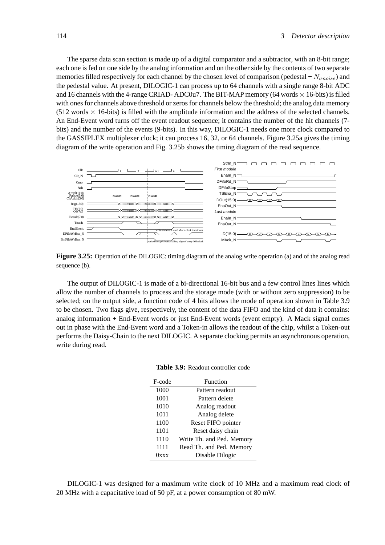The sparse data scan section is made up of a digital comparator and a subtractor, with an 8-bit range; each one is fed on one side by the analog information and on the other side by the contents of two separate memories filled respectively for each channel by the chosen level of comparison (pedestal +  $N_{anoise}$ ) and the pedestal value. At present, DILOGIC-1 can process up to 64 channels with a single range 8-bit ADC and 16 channels with the 4-range CRIAD-ADC0u7. The BIT-MAP memory (64 words  $\times$  16-bits) is filled with ones for channels above threshold or zeros for channels below the threshold; the analog data memory  $(512 \text{ words} \times 16\text{-bits})$  is filled with the amplitude information and the address of the selected channels. An End-Event word turns off the event readout sequence; it contains the number of the hit channels (7 bits) and the number of the events (9-bits). In this way, DILOGIC-1 needs one more clock compared to the GASSIPLEX multiplexer clock; it can process 16, 32, or 64 channels. Figure 3.25a gives the timing diagram of the write operation and Fig. 3.25b shows the timing diagram of the read sequence.



**Figure 3.25:** Operation of the DILOGIC: timing diagram of the analog write operation (a) and of the analog read sequence (b).

The output of DILOGIC-1 is made of a bi-directional 16-bit bus and a few control lines lines which allow the number of channels to process and the storage mode (with or without zero suppression) to be selected; on the output side, a function code of 4 bits allows the mode of operation shown in Table 3.9 to be chosen. Two flags give, respectively, the content of the data FIFO and the kind of data it contains: analog information + End-Event words or just End-Event words (event empty). A Mack signal comes out in phase with the End-Event word and a Token-in allows the readout of the chip, whilst a Token-out performs the Daisy-Chain to the next DILOGIC. A separate clocking permits an asynchronous operation, write during read.

**Table 3.9:** Readout controller code

| F-code    | Function                  |
|-----------|---------------------------|
| 1000      | Pattern readout           |
| 1001      | Pattern delete            |
| 1010      | Analog readout            |
| 1011      | Analog delete             |
| 1100      | Reset FIFO pointer        |
| 1101      | Reset daisy chain         |
| 1110      | Write Th. and Ped. Memory |
| 1111      | Read Th. and Ped. Memory  |
| $0$ x x x | Disable Dilogic           |

DILOGIC-1 was designed for a maximum write clock of 10 MHz and a maximum read clock of 20 MHz with a capacitative load of 50 pF, at a power consumption of 80 mW.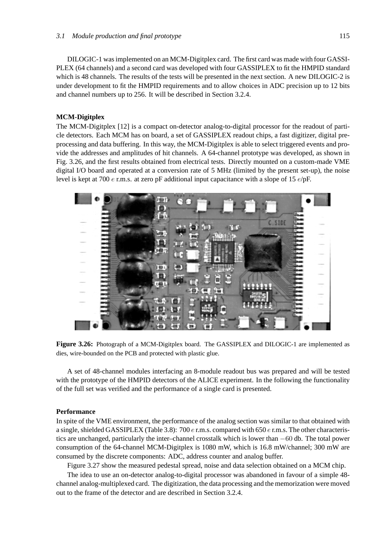DILOGIC-1 was implemented on an MCM-Digitplex card. The first card was made with four GASSI-PLEX (64 channels) and a second card was developed with four GASSIPLEX to fit the HMPID standard which is 48 channels. The results of the tests will be presented in the next section. A new DILOGIC-2 is under development to fit the HMPID requirements and to allow choices in ADC precision up to 12 bits and channel numbers up to 256. It will be described in Section 3.2.4.

# **MCM-Digitplex**

The MCM-Digitplex [12] is a compact on-detector analog-to-digital processor for the readout of particle detectors. Each MCM has on board, a set of GASSIPLEX readout chips, a fast digitizer, digital preprocessing and data buffering. In this way, the MCM-Digitplex is able to select triggered events and provide the addresses and amplitudes of hit channels. A 64-channel prototype was developed, as shown in Fig. 3.26, and the first results obtained from electrical tests. Directly mounted on a custom-made VME digital I/O board and operated at a conversion rate of 5 MHz (limited by the present set-up), the noise level is kept at 700 *e* r.m.s. at zero pF additional input capacitance with a slope of 15 *e*/pF.



**Figure 3.26:** Photograph of a MCM-Digitplex board. The GASSIPLEX and DILOGIC-1 are implemented as dies, wire-bounded on the PCB and protected with plastic glue.

A set of 48-channel modules interfacing an 8-module readout bus was prepared and will be tested with the prototype of the HMPID detectors of the ALICE experiment. In the following the functionality of the full set was verified and the performance of a single card is presented.

### **Performance**

In spite of the VME environment, the performance of the analog section was similar to that obtained with a single, shielded GASSIPLEX (Table 3.8): 700 *e* r.m.s. compared with 650 *e* r.m.s. The other characteristics are unchanged, particularly the inter–channel crosstalk which is lower than −60 db. The total power consumption of the 64-channel MCM-Digitplex is 1080 mW, which is 16.8 mW/channel; 300 mW are consumed by the discrete components: ADC, address counter and analog buffer.

Figure 3.27 show the measured pedestal spread, noise and data selection obtained on a MCM chip.

The idea to use an on-detector analog-to-digital processor was abandoned in favour of a simple 48 channel analog-multiplexed card. The digitization, the data processing and the memorization were moved out to the frame of the detector and are described in Section 3.2.4.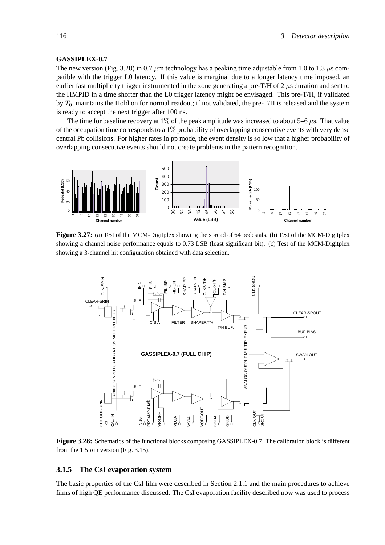#### **GASSIPLEX-0.7**

The new version (Fig. 3.28) in 0.7  $\mu$ m technology has a peaking time adjustable from 1.0 to 1.3  $\mu$ s compatible with the trigger L0 latency. If this value is marginal due to a longer latency time imposed, an earlier fast multiplicity trigger instrumented in the zone generating a pre-T/H of 2 *µ*s duration and sent to the HMPID in a time shorter than the L0 trigger latency might be envisaged. This pre-T/H, if validated by *T*0, maintains the Hold on for normal readout; if not validated, the pre-T/H is released and the system is ready to accept the next trigger after 100 ns.

The time for baseline recovery at 1% of the peak amplitude was increased to about 5–6 *µ*s. That value of the occupation time corresponds to a  $1\%$  probability of overlapping consecutive events with very dense central Pb collisions. For higher rates in pp mode, the event density is so low that a higher probability of overlapping consecutive events should not create problems in the pattern recognition.



**Figure 3.27:** (a) Test of the MCM-Digitplex showing the spread of 64 pedestals. (b) Test of the MCM-Digitplex showing a channel noise performance equals to 0.73 LSB (least significant bit). (c) Test of the MCM-Digitplex showing a 3-channel hit configuration obtained with data selection.



**Figure 3.28:** Schematics of the functional blocks composing GASSIPLEX-0.7. The calibration block is different from the 1.5  $\mu$ m version (Fig. 3.15).

### **3.1.5 The CsI evaporation system**

The basic properties of the CsI film were described in Section 2.1.1 and the main procedures to achieve films of high QE performance discussed. The CsI evaporation facility described now was used to process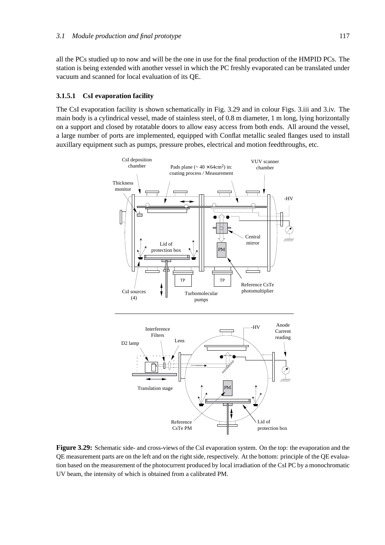all the PCs studied up to now and will be the one in use for the final production of the HMPID PCs. The station is being extended with another vessel in which the PC freshly evaporated can be translated under vacuum and scanned for local evaluation of its QE.

# **3.1.5.1 CsI evaporation facility**

The CsI evaporation facility is shown schematically in Fig. 3.29 and in colour Figs. 3.iii and 3.iv. The main body is a cylindrical vessel, made of stainless steel, of 0.8 m diameter, 1 m long, lying horizontally on a support and closed by rotatable doors to allow easy access from both ends. All around the vessel, a large number of ports are implemented, equipped with Conflat metallic sealed flanges used to install auxillary equipment such as pumps, pressure probes, electrical and motion feedthroughs, etc.



**Figure 3.29:** Schematic side- and cross-views of the CsI evaporation system. On the top: the evaporation and the QE measurement parts are on the left and on the right side, respectively. At the bottom: principle of the QE evaluation based on the measurement of the photocurrent produced by local irradiation of the CsI PC by a monochromatic UV beam, the intensity of which is obtained from a calibrated PM.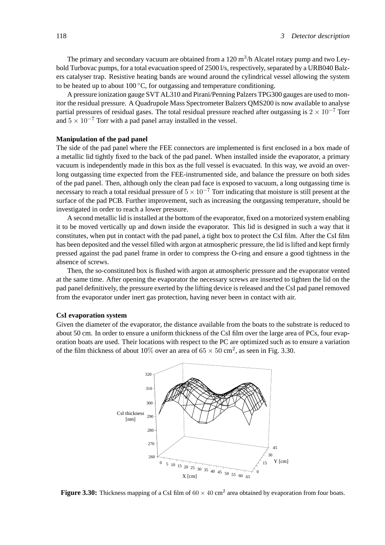The primary and secondary vacuum are obtained from a  $120 \text{ m}^3/\text{h}$  Alcatel rotary pump and two Leybold Turbovac pumps, for a total evacuation speed of 2500 l/s, respectively, separated by a URB040 Balzers catalyser trap. Resistive heating bands are wound around the cylindrical vessel allowing the system to be heated up to about  $100\,^{\circ}\text{C}$ , for outgassing and temperature conditioning.

A pressure ionization gauge SVT AL310 and Pirani/Penning Palzers TPG300 gauges are used to monitor the residual pressure. A Quadrupole Mass Spectrometer Balzers QMS200 is now available to analyse partial pressures of residual gases. The total residual pressure reached after outgassing is  $2 \times 10^{-7}$  Torr and  $5 \times 10^{-7}$  Torr with a pad panel array installed in the vessel.

### **Manipulation of the pad panel**

The side of the pad panel where the FEE connectors are implemented is first enclosed in a box made of a metallic lid tightly fixed to the back of the pad panel. When installed inside the evaporator, a primary vacuum is independently made in this box as the full vessel is evacuated. In this way, we avoid an overlong outgassing time expected from the FEE-instrumented side, and balance the pressure on both sides of the pad panel. Then, although only the clean pad face is exposed to vacuum, a long outgassing time is necessary to reach a total residual pressure of  $5 \times 10^{-7}$  Torr indicating that moisture is still present at the surface of the pad PCB. Further improvement, such as increasing the outgassing temperature, should be investigated in order to reach a lower pressure.

A second metallic lid is installed at the bottom of the evaporator, fixed on a motorized system enabling it to be moved vertically up and down inside the evaporator. This lid is designed in such a way that it constitutes, when put in contact with the pad panel, a tight box to protect the CsI film. After the CsI film has been deposited and the vessel filled with argon at atmospheric pressure, the lid is lifted and kept firmly pressed against the pad panel frame in order to compress the O-ring and ensure a good tightness in the absence of screws.

Then, the so-constituted box is flushed with argon at atmospheric pressure and the evaporator vented at the same time. After opening the evaporator the necessary screws are inserted to tighten the lid on the pad panel definitively, the pressure exerted by the lifting device is released and the CsI pad panel removed from the evaporator under inert gas protection, having never been in contact with air.

#### **CsI evaporation system**

Given the diameter of the evaporator, the distance available from the boats to the substrate is reduced to about 50 cm. In order to ensure a uniform thickness of the CsI film over the large area of PCs, four evaporation boats are used. Their locations with respect to the PC are optimized such as to ensure a variation of the film thickness of about 10% over an area of  $65 \times 50$  cm<sup>2</sup>, as seen in Fig. 3.30.



**Figure 3.30:** Thickness mapping of a CsI film of  $60 \times 40$  cm<sup>2</sup> area obtained by evaporation from four boats.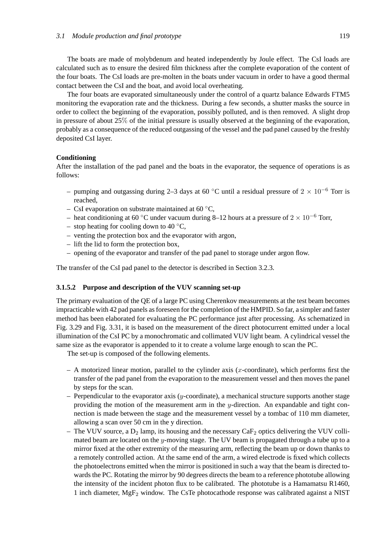The boats are made of molybdenum and heated independently by Joule effect. The CsI loads are calculated such as to ensure the desired film thickness after the complete evaporation of the content of the four boats. The CsI loads are pre-molten in the boats under vacuum in order to have a good thermal contact between the CsI and the boat, and avoid local overheating.

The four boats are evaporated simultaneously under the control of a quartz balance Edwards FTM5 monitoring the evaporation rate and the thickness. During a few seconds, a shutter masks the source in order to collect the beginning of the evaporation, possibly polluted, and is then removed. A slight drop in pressure of about 25% of the initial pressure is usually observed at the beginning of the evaporation, probably as a consequence of the reduced outgassing of the vessel and the pad panel caused by the freshly deposited CsI layer.

#### **Conditioning**

After the installation of the pad panel and the boats in the evaporator, the sequence of operations is as follows:

- pumping and outgassing during 2–3 days at 60 °C until a residual pressure of  $2 \times 10^{-6}$  Torr is reached,
- CsI evaporation on substrate maintained at 60  $\degree$ C,
- heat conditioning at 60 °C under vacuum during 8–12 hours at a pressure of  $2 \times 10^{-6}$  Torr,
- stop heating for cooling down to 40  $\degree$ C,
- venting the protection box and the evaporator with argon,
- lift the lid to form the protection box,
- opening of the evaporator and transfer of the pad panel to storage under argon flow.

The transfer of the CsI pad panel to the detector is described in Section 3.2.3.

# **3.1.5.2 Purpose and description of the VUV scanning set-up**

The primary evaluation of the QE of a large PC using Cherenkov measurements at the test beam becomes impracticable with 42 pad panels as foreseen for the completion of the HMPID. So far, a simpler and faster method has been elaborated for evaluating the PC performance just after processing. As schematized in Fig. 3.29 and Fig. 3.31, it is based on the measurement of the direct photocurrent emitted under a local illumination of the CsI PC by a monochromatic and collimated VUV light beam. A cylindrical vessel the same size as the evaporator is appended to it to create a volume large enough to scan the PC.

The set-up is composed of the following elements.

- A motorized linear motion, parallel to the cylinder axis (*x*-coordinate), which performs first the transfer of the pad panel from the evaporation to the measurement vessel and then moves the panel by steps for the scan.
- Perpendicular to the evaporator axis (*y*-coordinate), a mechanical structure supports another stage providing the motion of the measurement arm in the *y*-direction. An expandable and tight connection is made between the stage and the measurement vessel by a tombac of 110 mm diameter, allowing a scan over 50 cm in the y direction.
- The VUV source, a  $D_2$  lamp, its housing and the necessary CaF<sub>2</sub> optics delivering the VUV collimated beam are located on the *y*-moving stage. The UV beam is propagated through a tube up to a mirror fixed at the other extremity of the measuring arm, reflecting the beam up or down thanks to a remotely controlled action. At the same end of the arm, a wired electrode is fixed which collects the photoelectrons emitted when the mirror is positioned in such a way that the beam is directed towards the PC. Rotating the mirror by 90 degrees directs the beam to a reference phototube allowing the intensity of the incident photon flux to be calibrated. The phototube is a Hamamatsu R1460, 1 inch diameter,  $MgF_2$  window. The CsTe photocathode response was calibrated against a NIST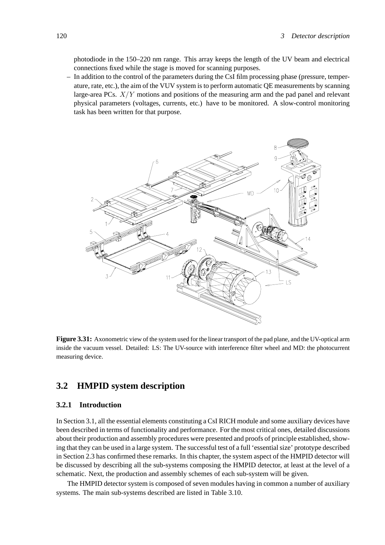photodiode in the 150–220 nm range. This array keeps the length of the UV beam and electrical connections fixed while the stage is moved for scanning purposes.

– In addition to the control of the parameters during the CsI film processing phase (pressure, temperature, rate, etc.), the aim of the VUV system is to perform automatic QE measurements by scanning large-area PCs. *X/Y* motions and positions of the measuring arm and the pad panel and relevant physical parameters (voltages, currents, etc.) have to be monitored. A slow-control monitoring task has been written for that purpose.



**Figure 3.31:** Axonometric view of the system used for the linear transport of the pad plane, and the UV-optical arm inside the vacuum vessel. Detailed: LS: The UV-source with interference filter wheel and MD: the photocurrent measuring device.

# **3.2 HMPID system description**

# **3.2.1 Introduction**

In Section 3.1, all the essential elements constituting a CsI RICH module and some auxiliary devices have been described in terms of functionality and performance. For the most critical ones, detailed discussions about their production and assembly procedures were presented and proofs of principle established, showing that they can be used in a large system. The successful test of a full 'essential size' prototype described in Section 2.3 has confirmed these remarks. In this chapter, the system aspect of the HMPID detector will be discussed by describing all the sub-systems composing the HMPID detector, at least at the level of a schematic. Next, the production and assembly schemes of each sub-system will be given.

The HMPID detector system is composed of seven modules having in common a number of auxiliary systems. The main sub-systems described are listed in Table 3.10.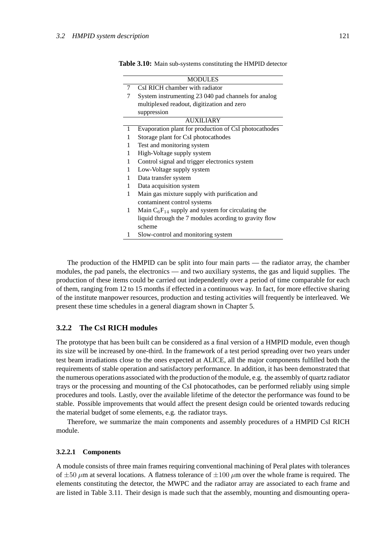|   | <b>MODULES</b>                                         |
|---|--------------------------------------------------------|
| 7 | CsI RICH chamber with radiator                         |
|   | System instrumenting 23 040 pad channels for analog    |
|   | multiplexed readout, digitization and zero             |
|   | suppression                                            |
|   | <b>AUXILIARY</b>                                       |
| 1 | Evaporation plant for production of CsI photocathodes  |
| 1 | Storage plant for CsI photocathodes                    |
| 1 | Test and monitoring system                             |
| 1 | High-Voltage supply system                             |
| 1 | Control signal and trigger electronics system          |
| 1 | Low-Voltage supply system                              |
| 1 | Data transfer system                                   |
| 1 | Data acquisition system                                |
| 1 | Main gas mixture supply with purification and          |
|   | contaminent control systems                            |
| 1 | Main $C_6F_{14}$ supply and system for circulating the |
|   | liquid through the 7 modules acording to gravity flow  |
|   | scheme                                                 |
| 1 | Slow-control and monitoring system                     |

|  |  | Table 3.10: Main sub-systems constituting the HMPID detector |  |  |  |
|--|--|--------------------------------------------------------------|--|--|--|
|--|--|--------------------------------------------------------------|--|--|--|

The production of the HMPID can be split into four main parts — the radiator array, the chamber modules, the pad panels, the electronics — and two auxiliary systems, the gas and liquid supplies. The production of these items could be carried out independently over a period of time comparable for each of them, ranging from 12 to 15 months if effected in a continuous way. In fact, for more effective sharing of the institute manpower resources, production and testing activities will frequently be interleaved. We present these time schedules in a general diagram shown in Chapter 5.

# **3.2.2 The CsI RICH modules**

The prototype that has been built can be considered as a final version of a HMPID module, even though its size will be increased by one-third. In the framework of a test period spreading over two years under test beam irradiations close to the ones expected at ALICE, all the major components fulfilled both the requirements of stable operation and satisfactory performance. In addition, it has been demonstrated that the numerous operations associated with the production of the module, e.g. the assembly of quartz radiator trays or the processing and mounting of the CsI photocathodes, can be performed reliably using simple procedures and tools. Lastly, over the available lifetime of the detector the performance was found to be stable. Possible improvements that would affect the present design could be oriented towards reducing the material budget of some elements, e.g. the radiator trays.

Therefore, we summarize the main components and assembly procedures of a HMPID CsI RICH module.

#### **3.2.2.1 Components**

A module consists of three main frames requiring conventional machining of Peral plates with tolerances of  $\pm 50 \ \mu$ m at several locations. A flatness tolerance of  $\pm 100 \ \mu$ m over the whole frame is required. The elements constituting the detector, the MWPC and the radiator array are associated to each frame and are listed in Table 3.11. Their design is made such that the assembly, mounting and dismounting opera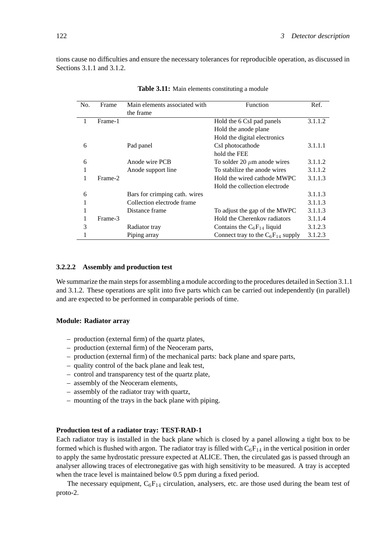tions cause no difficulties and ensure the necessary tolerances for reproducible operation, as discussed in Sections 3.1.1 and 3.1.2.

| No. | Frame   | Main elements associated with | Function                               | Ref.    |
|-----|---------|-------------------------------|----------------------------------------|---------|
|     |         | the frame                     |                                        |         |
|     | Frame-1 |                               | Hold the 6 CsI pad panels              | 3.1.1.2 |
|     |         |                               | Hold the anode plane                   |         |
|     |         |                               | Hold the digital electronics           |         |
| 6   |         | Pad panel                     | CsI photocathode                       | 3.1.1.1 |
|     |         |                               | hold the FEE                           |         |
| 6   |         | Anode wire PCB                | To solder 20 $\mu$ m anode wires       | 3.1.1.2 |
| 1   |         | Anode support line            | To stabilize the anode wires           | 3.1.1.2 |
|     | Frame-2 |                               | Hold the wired cathode MWPC            | 3.1.1.3 |
|     |         |                               | Hold the collection electrode          |         |
| 6   |         | Bars for crimping cath. wires |                                        | 3.1.1.3 |
| 1   |         | Collection electrode frame    |                                        | 3.1.1.3 |
| 1   |         | Distance frame                | To adjust the gap of the MWPC          | 3.1.1.3 |
|     | Frame-3 |                               | Hold the Cherenkov radiators           | 3.1.1.4 |
| 3   |         | Radiator tray                 | Contains the $C_6F_{14}$ liquid        | 3.1.2.3 |
|     |         | Piping array                  | Connect tray to the $C_6F_{14}$ supply | 3.1.2.3 |

**Table 3.11:** Main elements constituting a module

### **3.2.2.2 Assembly and production test**

We summarize the main steps for assembling a module according to the procedures detailed in Section 3.1.1 and 3.1.2. These operations are split into five parts which can be carried out independently (in parallel) and are expected to be performed in comparable periods of time.

#### **Module: Radiator array**

- production (external firm) of the quartz plates,
- production (external firm) of the Neoceram parts,
- production (external firm) of the mechanical parts: back plane and spare parts,
- quality control of the back plane and leak test,
- control and transparency test of the quartz plate,
- assembly of the Neoceram elements,
- assembly of the radiator tray with quartz,
- mounting of the trays in the back plane with piping.

#### **Production test of a radiator tray: TEST-RAD-1**

Each radiator tray is installed in the back plane which is closed by a panel allowing a tight box to be formed which is flushed with argon. The radiator tray is filled with  $C_6F_{14}$  in the vertical position in order to apply the same hydrostatic pressure expected at ALICE. Then, the circulated gas is passed through an analyser allowing traces of electronegative gas with high sensitivity to be measured. A tray is accepted when the trace level is maintained below 0.5 ppm during a fixed period.

The necessary equipment,  $C_6F_{14}$  circulation, analysers, etc. are those used during the beam test of proto-2.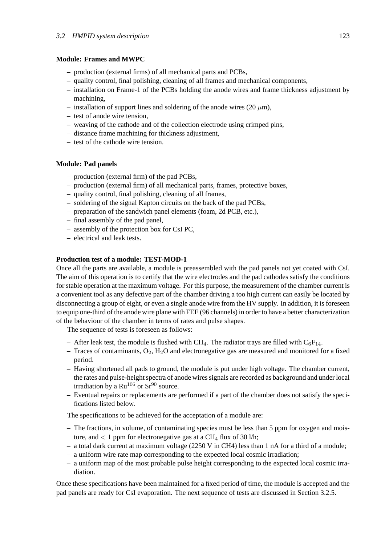# **Module: Frames and MWPC**

- production (external firms) of all mechanical parts and PCBs,
- quality control, final polishing, cleaning of all frames and mechanical components,
- installation on Frame-1 of the PCBs holding the anode wires and frame thickness adjustment by machining,
- installation of support lines and soldering of the anode wires (20  $\mu$ m),
- test of anode wire tension,
- weaving of the cathode and of the collection electrode using crimped pins,
- distance frame machining for thickness adjustment,
- test of the cathode wire tension.

# **Module: Pad panels**

- production (external firm) of the pad PCBs,
- production (external firm) of all mechanical parts, frames, protective boxes,
- quality control, final polishing, cleaning of all frames,
- soldering of the signal Kapton circuits on the back of the pad PCBs,
- preparation of the sandwich panel elements (foam, 2d PCB, etc.),
- final assembly of the pad panel,
- assembly of the protection box for CsI PC,
- electrical and leak tests.

# **Production test of a module: TEST-MOD-1**

Once all the parts are available, a module is preassembled with the pad panels not yet coated with CsI. The aim of this operation is to certify that the wire electrodes and the pad cathodes satisfy the conditions for stable operation at the maximum voltage. For this purpose, the measurement of the chamber current is a convenient tool as any defective part of the chamber driving a too high current can easily be located by disconnecting a group of eight, or even a single anode wire from the HV supply. In addition, it is foreseen to equip one-third of the anode wire plane with FEE (96 channels) in order to have a better characterization of the behaviour of the chamber in terms of rates and pulse shapes.

The sequence of tests is foreseen as follows:

- After leak test, the module is flushed with CH<sub>4</sub>. The radiator trays are filled with  $C_6F_{14}$ .
- Traces of contaminants,  $O_2$ ,  $H_2O$  and electronegative gas are measured and monitored for a fixed period.
- Having shortened all pads to ground, the module is put under high voltage. The chamber current, the rates and pulse-height spectra of anode wires signals are recorded as background and under local irradiation by a  $Ru^{106}$  or  $Sr^{90}$  source.
- Eventual repairs or replacements are performed if a part of the chamber does not satisfy the specifications listed below.

The specifications to be achieved for the acceptation of a module are:

- The fractions, in volume, of contaminating species must be less than 5 ppm for oxygen and moisture, and  $\langle 1$  ppm for electronegative gas at a CH<sub>4</sub> flux of 30 l/h;
- a total dark current at maximum voltage (2250 V in CH4) less than 1 nA for a third of a module;
- a uniform wire rate map corresponding to the expected local cosmic irradiation;
- a uniform map of the most probable pulse height corresponding to the expected local cosmic irradiation.

Once these specifications have been maintained for a fixed period of time, the module is accepted and the pad panels are ready for CsI evaporation. The next sequence of tests are discussed in Section 3.2.5.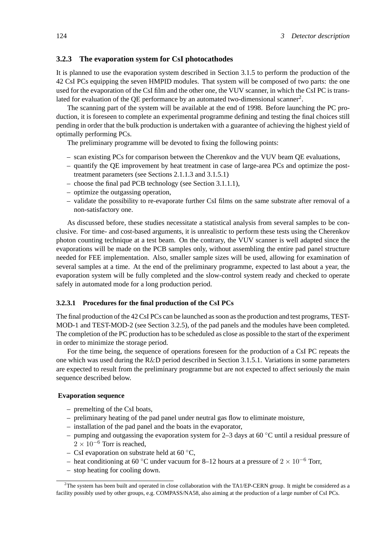# **3.2.3 The evaporation system for CsI photocathodes**

It is planned to use the evaporation system described in Section 3.1.5 to perform the production of the 42 CsI PCs equipping the seven HMPID modules. That system will be composed of two parts: the one used for the evaporation of the CsI film and the other one, the VUV scanner, in which the CsI PC is translated for evaluation of the  $OE$  performance by an automated two-dimensional scanner<sup>2</sup>.

The scanning part of the system will be available at the end of 1998. Before launching the PC production, it is foreseen to complete an experimental programme defining and testing the final choices still pending in order that the bulk production is undertaken with a guarantee of achieving the highest yield of optimally performing PCs.

The preliminary programme will be devoted to fixing the following points:

- scan existing PCs for comparison between the Cherenkov and the VUV beam QE evaluations,
- quantify the QE improvement by heat treatment in case of large-area PCs and optimize the posttreatment parameters (see Sections 2.1.1.3 and 3.1.5.1)
- choose the final pad PCB technology (see Section 3.1.1.1),
- optimize the outgassing operation,
- validate the possibility to re-evaporate further CsI films on the same substrate after removal of a non-satisfactory one.

As discussed before, these studies necessitate a statistical analysis from several samples to be conclusive. For time- and cost-based arguments, it is unrealistic to perform these tests using the Cherenkov photon counting technique at a test beam. On the contrary, the VUV scanner is well adapted since the evaporations will be made on the PCB samples only, without assembling the entire pad panel structure needed for FEE implementation. Also, smaller sample sizes will be used, allowing for examination of several samples at a time. At the end of the preliminary programme, expected to last about a year, the evaporation system will be fully completed and the slow-control system ready and checked to operate safely in automated mode for a long production period.

# **3.2.3.1 Procedures for the final production of the CsI PCs**

The final production of the 42 CsI PCs can be launched as soon as the production and test programs, TEST-MOD-1 and TEST-MOD-2 (see Section 3.2.5), of the pad panels and the modules have been completed. The completion of the PC production has to be scheduled as close as possible to the start of the experiment in order to minimize the storage period.

For the time being, the sequence of operations foreseen for the production of a CsI PC repeats the one which was used during the R&D period described in Section 3.1.5.1. Variations in some parameters are expected to result from the preliminary programme but are not expected to affect seriously the main sequence described below.

# **Evaporation sequence**

- premelting of the CsI boats,
- preliminary heating of the pad panel under neutral gas flow to eliminate moisture,
- installation of the pad panel and the boats in the evaporator,
- pumping and outgassing the evaporation system for 2–3 days at 60  $\degree$ C until a residual pressure of  $2 \times 10^{-6}$  Torr is reached,
- CsI evaporation on substrate held at 60  $\degree$ C,
- heat conditioning at 60 °C under vacuum for 8–12 hours at a pressure of  $2 \times 10^{-6}$  Torr,
- stop heating for cooling down.

 $2$ The system has been built and operated in close collaboration with the TA1/EP-CERN group. It might be considered as a facility possibly used by other groups, e.g. COMPASS/NA58, also aiming at the production of a large number of CsI PCs.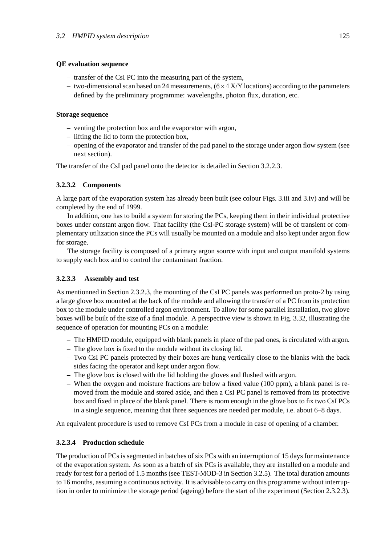# **QE evaluation sequence**

- transfer of the CsI PC into the measuring part of the system,
- two-dimensional scan based on 24 measurements,  $(6\times4~\text{X/Y})$  locations) according to the parameters defined by the preliminary programme: wavelengths, photon flux, duration, etc.

# **Storage sequence**

- venting the protection box and the evaporator with argon,
- lifting the lid to form the protection box,
- opening of the evaporator and transfer of the pad panel to the storage under argon flow system (see next section).

The transfer of the CsI pad panel onto the detector is detailed in Section 3.2.2.3.

# **3.2.3.2 Components**

A large part of the evaporation system has already been built (see colour Figs. 3.iii and 3.iv) and will be completed by the end of 1999.

In addition, one has to build a system for storing the PCs, keeping them in their individual protective boxes under constant argon flow. That facility (the CsI-PC storage system) will be of transient or complementary utilization since the PCs will usually be mounted on a module and also kept under argon flow for storage.

The storage facility is composed of a primary argon source with input and output manifold systems to supply each box and to control the contaminant fraction.

# **3.2.3.3 Assembly and test**

As mentionned in Section 2.3.2.3, the mounting of the CsI PC panels was performed on proto-2 by using a large glove box mounted at the back of the module and allowing the transfer of a PC from its protection box to the module under controlled argon environment. To allow for some parallel installation, two glove boxes will be built of the size of a final module. A perspective view is shown in Fig. 3.32, illustrating the sequence of operation for mounting PCs on a module:

- The HMPID module, equipped with blank panels in place of the pad ones, is circulated with argon.
- The glove box is fixed to the module without its closing lid.
- Two CsI PC panels protected by their boxes are hung vertically close to the blanks with the back sides facing the operator and kept under argon flow.
- The glove box is closed with the lid holding the gloves and flushed with argon.
- When the oxygen and moisture fractions are below a fixed value (100 ppm), a blank panel is removed from the module and stored aside, and then a CsI PC panel is removed from its protective box and fixed in place of the blank panel. There is room enough in the glove box to fix two CsI PCs in a single sequence, meaning that three sequences are needed per module, i.e. about 6–8 days.

An equivalent procedure is used to remove CsI PCs from a module in case of opening of a chamber.

# **3.2.3.4 Production schedule**

The production of PCs is segmented in batches of six PCs with an interruption of 15 days for maintenance of the evaporation system. As soon as a batch of six PCs is available, they are installed on a module and ready for test for a period of 1.5 months (see TEST-MOD-3 in Section 3.2.5). The total duration amounts to 16 months, assuming a continuous activity. It is advisable to carry on this programme without interruption in order to minimize the storage period (ageing) before the start of the experiment (Section 2.3.2.3).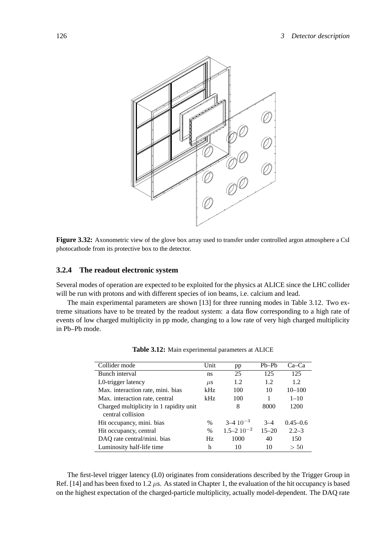

**Figure 3.32:** Axonometric view of the glove box array used to transfer under controlled argon atmosphere a CsI photocathode from its protective box to the detector.

# **3.2.4 The readout electronic system**

Several modes of operation are expected to be exploited for the physics at ALICE since the LHC collider will be run with protons and with different species of ion beams, i.e. calcium and lead.

The main experimental parameters are shown [13] for three running modes in Table 3.12. Two extreme situations have to be treated by the readout system: a data flow corresponding to a high rate of events of low charged multiplicity in pp mode, changing to a low rate of very high charged multiplicity in Pb–Pb mode.

| Collider mode                           | Unit    | pp                     | $Pb-Pb$   | Ca–Ca        |
|-----------------------------------------|---------|------------------------|-----------|--------------|
| Bunch interval                          | ns      | 25                     | 125       | 125          |
| L0-trigger latency                      | $\mu$ s | 1.2                    | 1.2       | 1.2.         |
| Max. interaction rate, mini. bias       | kHz     | 100                    | 10        | $10 - 100$   |
| Max. interaction rate, central          | kHz     | 100                    |           | $1 - 10$     |
| Charged multiplicity in 1 rapidity unit |         | 8                      | 8000      | 1200         |
| central collision                       |         |                        |           |              |
| Hit occupancy, mini. bias               | $\%$    | $3-4$ 10 <sup>-3</sup> | $3 - 4$   | $0.45 - 0.6$ |
| Hit occupancy, central                  | $\%$    | $1.5 - 2.10^{-2}$      | $15 - 20$ | $2.2 - 3$    |
| DAQ rate central/mini. bias             | Hz      | 1000                   | 40        | 150          |
| Luminosity half-life time               | h       | 10                     | 10        | > 50         |

**Table 3.12:** Main experimental parameters at ALICE

The first-level trigger latency (L0) originates from considerations described by the Trigger Group in Ref. [14] and has been fixed to 1.2  $\mu$ s. As stated in Chapter 1, the evaluation of the hit occupancy is based on the highest expectation of the charged-particle multiplicity, actually model-dependent. The DAQ rate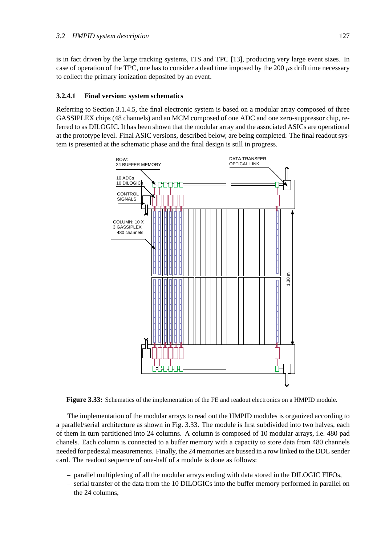is in fact driven by the large tracking systems, ITS and TPC [13], producing very large event sizes. In case of operation of the TPC, one has to consider a dead time imposed by the 200 *µ*s drift time necessary to collect the primary ionization deposited by an event.

# **3.2.4.1 Final version: system schematics**

Referring to Section 3.1.4.5, the final electronic system is based on a modular array composed of three GASSIPLEX chips (48 channels) and an MCM composed of one ADC and one zero-suppressor chip, referred to as DILOGIC. It has been shown that the modular array and the associated ASICs are operational at the prototype level. Final ASIC versions, described below, are being completed. The final readout system is presented at the schematic phase and the final design is still in progress.



**Figure 3.33:** Schematics of the implementation of the FE and readout electronics on a HMPID module.

The implementation of the modular arrays to read out the HMPID modules is organized according to a parallel/serial architecture as shown in Fig. 3.33. The module is first subdivided into two halves, each of them in turn partitioned into 24 columns. A column is composed of 10 modular arrays, i.e. 480 pad chanels. Each column is connected to a buffer memory with a capacity to store data from 480 channels needed for pedestal measurements. Finally, the 24 memories are bussed in a row linked to the DDL sender card. The readout sequence of one-half of a module is done as follows:

- parallel multiplexing of all the modular arrays ending with data stored in the DILOGIC FIFOs,
- serial transfer of the data from the 10 DILOGICs into the buffer memory performed in parallel on the 24 columns,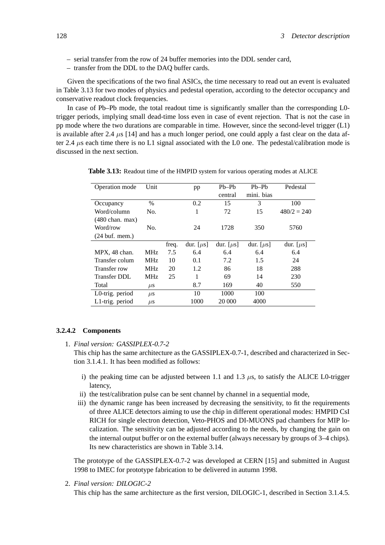- serial transfer from the row of 24 buffer memories into the DDL sender card,
- transfer from the DDL to the DAQ buffer cards.

Given the specifications of the two final ASICs, the time necessary to read out an event is evaluated in Table 3.13 for two modes of physics and pedestal operation, according to the detector occupancy and conservative readout clock frequencies.

In case of Pb–Pb mode, the total readout time is significantly smaller than the corresponding L0 trigger periods, implying small dead-time loss even in case of event rejection. That is not the case in pp mode where the two durations are comparable in time. However, since the second-level trigger (L1) is available after 2.4 *µ*s [14] and has a much longer period, one could apply a fast clear on the data after 2.4  $\mu$ s each time there is no L1 signal associated with the L0 one. The pedestal/calibration mode is discussed in the next section.

| Operation mode                   | Unit               |       | pp             | $Ph-Pb$        | $Pb-Pb$        | Pedestal       |
|----------------------------------|--------------------|-------|----------------|----------------|----------------|----------------|
|                                  |                    |       |                | central        | mini. bias     |                |
| Occupancy                        | $\%$               |       | 0.2            | 15             | 3              | 100            |
| Word/column                      | No.                |       | 1              | 72             | 15             | $480/2 = 240$  |
| $(480 \text{ chan. max})$        |                    |       |                |                |                |                |
| Word/row                         | No.                |       | 24             | 1728           | 350            | 5760           |
| $(24 \text{ but.} \text{ mem.})$ |                    |       |                |                |                |                |
|                                  |                    | freq. | dur. $[\mu s]$ | dur. $[\mu s]$ | dur. $[\mu s]$ | dur. $[\mu s]$ |
| MPX, 48 chan.                    | <b>MHz</b>         | 7.5   | 6.4            | 6.4            | 6.4            | 6.4            |
| Transfer colum                   | <b>MHz</b>         | 10    | 0.1            | 7.2            | 1.5            | 24             |
| Transfer row                     | <b>MHz</b>         | 20    | 1.2            | 86             | 18             | 288            |
| <b>Transfer DDL</b>              | <b>MHz</b>         | 25    | 1              | 69             | 14             | 230            |
| Total                            | $\mu$ s            |       | 8.7            | 169            | 40             | 550            |
| L0-trig. period                  | $\mu$ <sub>S</sub> |       | 10             | 1000           | 100            |                |
| L1-trig. period                  | $\mu$ <sub>S</sub> |       | 1000           | 20 000         | 4000           |                |

**Table 3.13:** Readout time of the HMPID system for various operating modes at ALICE

#### **3.2.4.2 Components**

1. *Final version: GASSIPLEX-0.7-2*

This chip has the same architecture as the GASSIPLEX-0.7-1, described and characterized in Section 3.1.4.1. It has been modified as follows:

- i) the peaking time can be adjusted between 1.1 and 1.3 *µ*s, to satisfy the ALICE L0-trigger latency,
- ii) the test/calibration pulse can be sent channel by channel in a sequential mode,
- iii) the dynamic range has been increased by decreasing the sensitivity, to fit the requirements of three ALICE detectors aiming to use the chip in different operational modes: HMPID CsI RICH for single electron detection, Veto-PHOS and DI-MUONS pad chambers for MIP localization. The sensitivity can be adjusted according to the needs, by changing the gain on the internal output buffer or on the external buffer (always necessary by groups of 3–4 chips). Its new characteristics are shown in Table 3.14.

The prototype of the GASSIPLEX-0.7-2 was developed at CERN [15] and submitted in August 1998 to IMEC for prototype fabrication to be delivered in autumn 1998.

2. *Final version: DILOGIC-2*

This chip has the same architecture as the first version, DILOGIC-1, described in Section 3.1.4.5.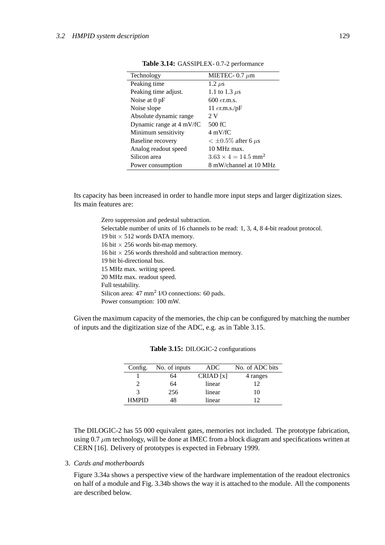| Technology               | MIETEC- $0.7 \mu m$                    |
|--------------------------|----------------------------------------|
| Peaking time             | $1.2 \ \mu s$                          |
| Peaking time adjust.     | 1.1 to 1.3 $\mu$ s                     |
| Noise at $0$ pF          | $600 \text{ }$ er.m.s.                 |
| Noise slope              | 11 $er.m.s./pF$                        |
| Absolute dynamic range   | 2N                                     |
| Dynamic range at 4 mV/fC | 500 fC                                 |
| Minimum sensitivity      | $4 \text{ mV/fC}$                      |
| Baseline recovery        | $< \pm 0.5\%$ after 6 $\mu$ s          |
| Analog readout speed     | 10 MHz max.                            |
| Silicon area             | $3.63 \times 4 = 14.5$ mm <sup>2</sup> |
| Power consumption        | 8 mW/channel at 10 MHz                 |

Its capacity has been increased in order to handle more input steps and larger digitization sizes. Its main features are:

Zero suppression and pedestal subtraction. Selectable number of units of 16 channels to be read: 1, 3, 4, 8 4-bit readout protocol. 19 bit  $\times$  512 words DATA memory. 16 bit  $\times$  256 words bit-map memory. 16 bit  $\times$  256 words threshold and subtraction memory. 19 bit bi-directional bus. 15 MHz max. writing speed. 20 MHz max. readout speed. Full testability. Silicon area: 47 mm<sup>2</sup> I/O connections: 60 pads. Power consumption: 100 mW.

Given the maximum capacity of the memories, the chip can be configured by matching the number of inputs and the digitization size of the ADC, e.g. as in Table 3.15.

| Config.      | No. of inputs | ADC.     | No. of ADC bits |
|--------------|---------------|----------|-----------------|
|              | 64            | CRIAD[x] | 4 ranges        |
|              | 64            | linear   | 12              |
|              | 256           | linear   | 10              |
| <b>HMPID</b> | 48            | linear   |                 |

The DILOGIC-2 has 55 000 equivalent gates, memories not included. The prototype fabrication, using 0.7  $\mu$ m technology, will be done at IMEC from a block diagram and specifications written at CERN [16]. Delivery of prototypes is expected in February 1999.

# 3. *Cards and motherboards*

Figure 3.34a shows a perspective view of the hardware implementation of the readout electronics on half of a module and Fig. 3.34b shows the way it is attached to the module. All the components are described below.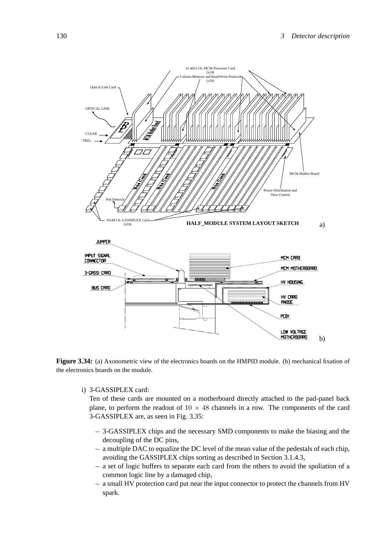

**Figure 3.34:** (a) Axonometric view of the electronics boards on the HMPID module. (b) mechanical fixation of the electronics boards on the module.

i) 3-GASSIPLEX card:

Ten of these cards are mounted on a motherboard directly attached to the pad-panel back plane, to perform the readout of  $10 \times 48$  channels in a row. The components of the card 3-GASSIPLEX are, as seen in Fig. 3.35:

- 3-GASSIPLEX chips and the necessary SMD components to make the biasing and the decoupling of the DC pins,
- a multiple DAC to equalize the DC level of the mean value of the pedestals of each chip, avoiding the GASSIPLEX chips sorting as described in Section 3.1.4.3,
- a set of logic buffers to separate each card from the others to avoid the spoliation of a common logic line by a damaged chip,
- a small HV protection card put near the input connector to protect the channels from HV spark.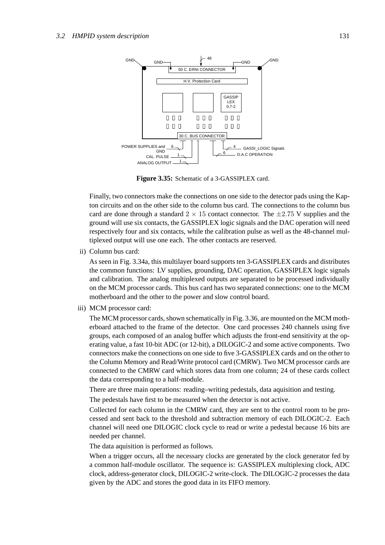

**Figure 3.35:** Schematic of a 3-GASSIPLEX card.

Finally, two connectors make the connections on one side to the detector pads using the Kapton circuits and on the other side to the column bus card. The connections to the column bus card are done through a standard  $2 \times 15$  contact connector. The  $\pm 2.75$  V supplies and the ground will use six contacts, the GASSIPLEX logic signals and the DAC operation will need respectively four and six contacts, while the calibration pulse as well as the 48-channel multiplexed output will use one each. The other contacts are reserved.

ii) Column bus card:

As seen in Fig. 3.34a, this multilayer board supports ten 3-GASSIPLEX cards and distributes the common functions: LV supplies, grounding, DAC operation, GASSIPLEX logic signals and calibration. The analog multiplexed outputs are separated to be processed individually on the MCM processor cards. This bus card has two separated connections: one to the MCM motherboard and the other to the power and slow control board.

iii) MCM processor card:

The MCM processor cards, shown schematically in Fig. 3.36, are mounted on the MCM motherboard attached to the frame of the detector. One card processes 240 channels using five groups, each composed of an analog buffer which adjusts the front-end sensitivity at the operating value, a fast 10-bit ADC (or 12-bit), a DILOGIC-2 and some active components. Two connectors make the connections on one side to five 3-GASSIPLEX cards and on the other to the Column Memory and Read/Write protocol card (CMRW). Two MCM processor cards are connected to the CMRW card which stores data from one column; 24 of these cards collect the data corresponding to a half-module.

There are three main operations: reading–writing pedestals, data aquisition and testing.

The pedestals have first to be measured when the detector is not active.

Collected for each column in the CMRW card, they are sent to the control room to be processed and sent back to the threshold and subtraction memory of each DILOGIC-2. Each channel will need one DILOGIC clock cycle to read or write a pedestal because 16 bits are needed per channel.

The data aquisition is performed as follows.

When a trigger occurs, all the necessary clocks are generated by the clock generator fed by a common half-module oscillator. The sequence is: GASSIPLEX multiplexing clock, ADC clock, address-generator clock, DILOGIC-2 write-clock. The DILOGIC-2 processes the data given by the ADC and stores the good data in its FIFO memory.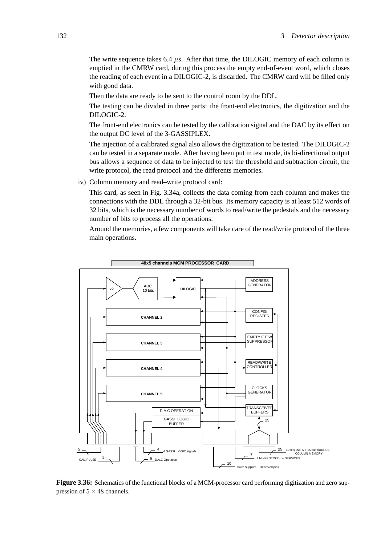The write sequence takes 6.4  $\mu$ s. After that time, the DILOGIC memory of each column is emptied in the CMRW card, during this process the empty end-of-event word, which closes the reading of each event in a DILOGIC-2, is discarded. The CMRW card will be filled only with good data.

Then the data are ready to be sent to the control room by the DDL.

The testing can be divided in three parts: the front-end electronics, the digitization and the DILOGIC-2.

The front-end electronics can be tested by the calibration signal and the DAC by its effect on the output DC level of the 3-GASSIPLEX.

The injection of a calibrated signal also allows the digitization to be tested. The DILOGIC-2 can be tested in a separate mode. After having been put in test mode, its bi-directional output bus allows a sequence of data to be injected to test the threshold and subtraction circuit, the write protocol, the read protocol and the differents memories.

iv) Column memory and read–write protocol card:

This card, as seen in Fig. 3.34a, collects the data coming from each column and makes the connections with the DDL through a 32-bit bus. Its memory capacity is at least 512 words of 32 bits, which is the necessary number of words to read/write the pedestals and the necessary number of bits to process all the operations.

Around the memories, a few components will take care of the read/write protocol of the three main operations.



**Figure 3.36:** Schematics of the functional blocks of a MCM-processor card performing digitization and zero suppression of  $5 \times 48$  channels.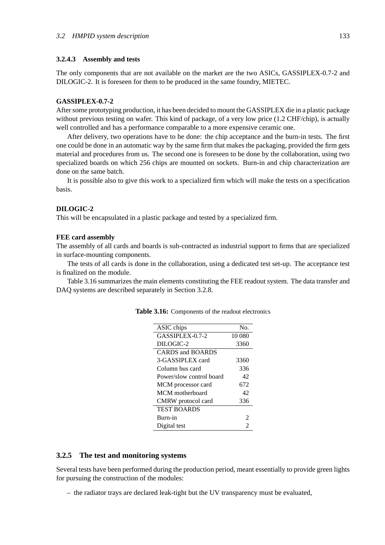### **3.2.4.3 Assembly and tests**

The only components that are not available on the market are the two ASICs, GASSIPLEX-0.7-2 and DILOGIC-2. It is foreseen for them to be produced in the same foundry, MIETEC.

#### **GASSIPLEX-0.7-2**

After some prototyping production, it has been decided to mount the GASSIPLEX die in a plastic package without previous testing on wafer. This kind of package, of a very low price (1.2 CHF/chip), is actually well controlled and has a performance comparable to a more expensive ceramic one.

After delivery, two operations have to be done: the chip acceptance and the burn-in tests. The first one could be done in an automatic way by the same firm that makes the packaging, provided the firm gets material and procedures from us. The second one is foreseen to be done by the collaboration, using two specialized boards on which 256 chips are mounted on sockets. Burn-in and chip characterization are done on the same batch.

It is possible also to give this work to a specialized firm which will make the tests on a specification basis.

# **DILOGIC-2**

This will be encapsulated in a plastic package and tested by a specialized firm.

# **FEE card assembly**

The assembly of all cards and boards is sub-contracted as industrial support to firms that are specialized in surface-mounting components.

The tests of all cards is done in the collaboration, using a dedicated test set-up. The acceptance test is finalized on the module.

Table 3.16 summarizes the main elements constituting the FEE readout system. The data transfer and DAQ systems are described separately in Section 3.2.8.

| ASIC chips                     | No.    |
|--------------------------------|--------|
| GASSIPLEX-0.7-2                | 10 080 |
| DILOGIC-2                      | 3360   |
| <b>CARDS</b> and <b>BOARDS</b> |        |
| 3-GASSIPLEX card               | 3360   |
| Column bus card                | 336    |
| Power/slow control board       | 42     |
| MCM processor card             | 672    |
| MCM motherboard                | 42     |
| CMRW protocol card             | 336    |
| <b>TEST BOARDS</b>             |        |
| Burn-in                        |        |
| Digital test                   |        |

**Table 3.16:** Components of the readout electronics

#### **3.2.5 The test and monitoring systems**

Several tests have been performed during the production period, meant essentially to provide green lights for pursuing the construction of the modules:

– the radiator trays are declared leak-tight but the UV transparency must be evaluated,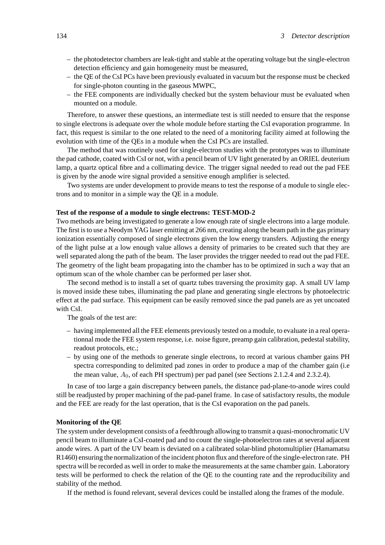- the photodetector chambers are leak-tight and stable at the operating voltage but the single-electron detection efficiency and gain homogeneity must be measured,
- the QE of the CsI PCs have been previously evaluated in vacuum but the response must be checked for single-photon counting in the gaseous MWPC,
- the FEE components are individually checked but the system behaviour must be evaluated when mounted on a module.

Therefore, to answer these questions, an intermediate test is still needed to ensure that the response to single electrons is adequate over the whole module before starting the CsI evaporation programme. In fact, this request is similar to the one related to the need of a monitoring facility aimed at following the evolution with time of the QEs in a module when the CsI PCs are installed.

The method that was routinely used for single-electron studies with the prototypes was to illuminate the pad cathode, coated with CsI or not, with a pencil beam of UV light generated by an ORIEL deuterium lamp, a quartz optical fibre and a collimating device. The trigger signal needed to read out the pad FEE is given by the anode wire signal provided a sensitive enough amplifier is selected.

Two systems are under development to provide means to test the response of a module to single electrons and to monitor in a simple way the QE in a module.

#### **Test of the response of a module to single electrons: TEST-MOD-2**

Two methods are being investigated to generate a low enough rate of single electrons into a large module. The first is to use a Neodym YAG laser emitting at 266 nm, creating along the beam path in the gas primary ionization essentially composed of single electrons given the low energy transfers. Adjusting the energy of the light pulse at a low enough value allows a density of primaries to be created such that they are well separated along the path of the beam. The laser provides the trigger needed to read out the pad FEE. The geometry of the light beam propagating into the chamber has to be optimized in such a way that an optimum scan of the whole chamber can be performed per laser shot.

The second method is to install a set of quartz tubes traversing the proximity gap. A small UV lamp is moved inside these tubes, illuminating the pad plane and generating single electrons by photoelectric effect at the pad surface. This equipment can be easily removed since the pad panels are as yet uncoated with CsI.

The goals of the test are:

- having implemented all the FEE elements previously tested on a module, to evaluate in a real operationnal mode the FEE system response, i.e. noise figure, preamp gain calibration, pedestal stability, readout protocols, etc.;
- by using one of the methods to generate single electrons, to record at various chamber gains PH spectra corresponding to delimited pad zones in order to produce a map of the chamber gain (i.e the mean value,  $A_0$ , of each PH spectrum) per pad panel (see Sections 2.1.2.4 and 2.3.2.4).

In case of too large a gain discrepancy between panels, the distance pad-plane-to-anode wires could still be readjusted by proper machining of the pad-panel frame. In case of satisfactory results, the module and the FEE are ready for the last operation, that is the CsI evaporation on the pad panels.

### **Monitoring of the QE**

The system under development consists of a feedthrough allowing to transmit a quasi-monochromatic UV pencil beam to illuminate a CsI-coated pad and to count the single-photoelectron rates at several adjacent anode wires. A part of the UV beam is deviated on a calibrated solar-blind photomultiplier (Hamamatsu R1460) ensuring the normalization of the incident photon flux and therefore of the single-electron rate. PH spectra will be recorded as well in order to make the measurements at the same chamber gain. Laboratory tests will be performed to check the relation of the QE to the counting rate and the reproducibility and stability of the method.

If the method is found relevant, several devices could be installed along the frames of the module.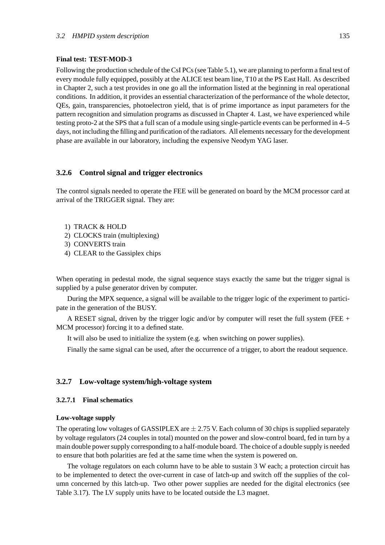#### **Final test: TEST-MOD-3**

Following the production schedule of the CsI PCs (see Table 5.1), we are planning to perform a final test of every module fully equipped, possibly at the ALICE test beam line, T10 at the PS East Hall. As described in Chapter 2, such a test provides in one go all the information listed at the beginning in real operational conditions. In addition, it provides an essential characterization of the performance of the whole detector, QEs, gain, transparencies, photoelectron yield, that is of prime importance as input parameters for the pattern recognition and simulation programs as discussed in Chapter 4. Last, we have experienced while testing proto-2 at the SPS that a full scan of a module using single-particle events can be performed in 4–5 days, not including the filling and purification of the radiators. All elements necessary for the development phase are available in our laboratory, including the expensive Neodym YAG laser.

### **3.2.6 Control signal and trigger electronics**

The control signals needed to operate the FEE will be generated on board by the MCM processor card at arrival of the TRIGGER signal. They are:

- 1) TRACK & HOLD
- 2) CLOCKS train (multiplexing)
- 3) CONVERTS train
- 4) CLEAR to the Gassiplex chips

When operating in pedestal mode, the signal sequence stays exactly the same but the trigger signal is supplied by a pulse generator driven by computer.

During the MPX sequence, a signal will be available to the trigger logic of the experiment to participate in the generation of the BUSY.

A RESET signal, driven by the trigger logic and/or by computer will reset the full system (FEE + MCM processor) forcing it to a defined state.

It will also be used to initialize the system (e.g. when switching on power supplies).

Finally the same signal can be used, after the occurrence of a trigger, to abort the readout sequence.

# **3.2.7 Low-voltage system/high-voltage system**

# **3.2.7.1 Final schematics**

#### **Low-voltage supply**

The operating low voltages of GASSIPLEX are  $\pm$  2.75 V. Each column of 30 chips is supplied separately by voltage regulators (24 couples in total) mounted on the power and slow-control board, fed in turn by a main double power supply corresponding to a half-module board. The choice of a double supply is needed to ensure that both polarities are fed at the same time when the system is powered on.

The voltage regulators on each column have to be able to sustain 3 W each; a protection circuit has to be implemented to detect the over-current in case of latch-up and switch off the supplies of the column concerned by this latch-up. Two other power supplies are needed for the digital electronics (see Table 3.17). The LV supply units have to be located outside the L3 magnet.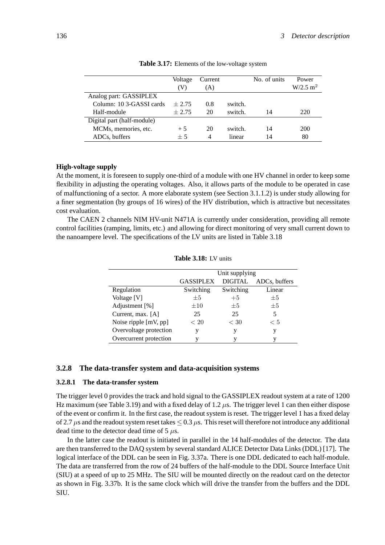|                            | Voltage<br>V) | Current<br>(A) |         | No. of units | Power<br>W/2.5 m <sup>2</sup> |
|----------------------------|---------------|----------------|---------|--------------|-------------------------------|
| Analog part: GASSIPLEX     |               |                |         |              |                               |
| Column: 10 3-GASSI cards   | $+2.75$       | 0.8            | switch. |              |                               |
| Half-module                | $+2.75$       | 20             | switch. | 14           | 220                           |
| Digital part (half-module) |               |                |         |              |                               |
| MCMs, memories, etc.       | $+5$          | 20             | switch. | 14           | 200                           |
| ADCs, buffers              | $+5$          | 4              | linear  | 14           | 80                            |

| Table 3.17: Elements of the low-voltage system |  |
|------------------------------------------------|--|
|------------------------------------------------|--|

# **High-voltage supply**

At the moment, it is foreseen to supply one-third of a module with one HV channel in order to keep some flexibility in adjusting the operating voltages. Also, it allows parts of the module to be operated in case of malfunctioning of a sector. A more elaborate system (see Section 3.1.1.2) is under study allowing for a finer segmentation (by groups of 16 wires) of the HV distribution, which is attractive but necessitates cost evaluation.

The CAEN 2 channels NIM HV-unit N471A is currently under consideration, providing all remote control facilities (ramping, limits, etc.) and allowing for direct monitoring of very small current down to the nanoampere level. The specifications of the LV units are listed in Table 3.18

|                         | Unit supplying                                      |           |         |  |  |
|-------------------------|-----------------------------------------------------|-----------|---------|--|--|
|                         | <b>DIGITAL</b><br><b>GASSIPLEX</b><br>ADCs, buffers |           |         |  |  |
| Regulation              | Switching                                           | Switching | Linear  |  |  |
| Voltage [V]             | $\pm 5$                                             | $+5$      | $\pm 5$ |  |  |
| Adjustment [%]          | $\pm 10$                                            | $+5$      | $+5$    |  |  |
| Current, max. [A]       | 25                                                  | 25        | 5       |  |  |
| Noise ripple $[mV, pp]$ | < 20                                                | < 30      | < 5     |  |  |
| Overvoltage protection  |                                                     | V         | v       |  |  |
| Overcurrent protection  |                                                     |           |         |  |  |

### **3.2.8 The data-transfer system and data-acquisition systems**

#### **3.2.8.1 The data-transfer system**

The trigger level 0 provides the track and hold signal to the GASSIPLEX readout system at a rate of 1200 Hz maximum (see Table 3.19) and with a fixed delay of 1.2 *µ*s. The trigger level 1 can then either dispose of the event or confirm it. In the first case, the readout system is reset. The trigger level 1 has a fixed delay of 2.7  $\mu$ s and the readout system reset takes  $\leq 0.3 \mu$ s. This reset will therefore not introduce any additional dead time to the detector dead time of 5 *µ*s.

In the latter case the readout is initiated in parallel in the 14 half-modules of the detector. The data are then transferred to the DAQ system by several standard ALICE Detector Data Links (DDL) [17]. The logical interface of the DDL can be seen in Fig. 3.37a. There is one DDL dedicated to each half-module. The data are transferred from the row of 24 buffers of the half-module to the DDL Source Interface Unit (SIU) at a speed of up to 25 MHz. The SIU will be mounted directly on the readout card on the detector as shown in Fig. 3.37b. It is the same clock which will drive the transfer from the buffers and the DDL SIU.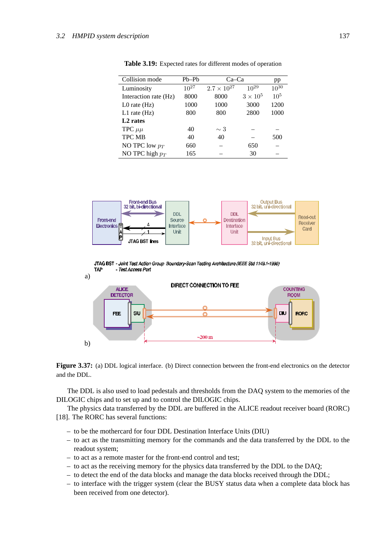| Collision mode        | $Pb-Pb$   | $Ca-Ca$              |               | pp        |
|-----------------------|-----------|----------------------|---------------|-----------|
| Luminosity            | $10^{27}$ | $2.7 \times 10^{27}$ | $10^{29}$     | $10^{30}$ |
| Interaction rate (Hz) | 8000      | 8000                 | $3\times10^5$ | $10^{5}$  |
| $L0$ rate $(Hz)$      | 1000      | 1000                 | 3000          | 1200      |
| $L1$ rate $(Hz)$      | 800       | 800                  | 2800          | 1000      |
| L <sub>2</sub> rates  |           |                      |               |           |
| TPC $\mu\mu$          | 40        | $\sim$ 3             |               |           |
| <b>TPC MB</b>         | 40        | 40                   |               | 500       |
| NO TPC low $p_T$      | 660       |                      | 650           |           |
| NO TPC high $p_T$     | 165       |                      | 30            |           |

**Table 3.19:** Expected rates for different modes of operation







**Figure 3.37:** (a) DDL logical interface. (b) Direct connection between the front-end electronics on the detector and the DDL.

The DDL is also used to load pedestals and thresholds from the DAQ system to the memories of the DILOGIC chips and to set up and to control the DILOGIC chips.

The physics data transferred by the DDL are buffered in the ALICE readout receiver board (RORC) [18]. The RORC has several functions:

- to be the mothercard for four DDL Destination Interface Units (DIU)
- to act as the transmitting memory for the commands and the data transferred by the DDL to the readout system;
- to act as a remote master for the front-end control and test;
- to act as the receiving memory for the physics data transferred by the DDL to the DAQ;
- to detect the end of the data blocks and manage the data blocks received through the DDL;
- to interface with the trigger system (clear the BUSY status data when a complete data block has been received from one detector).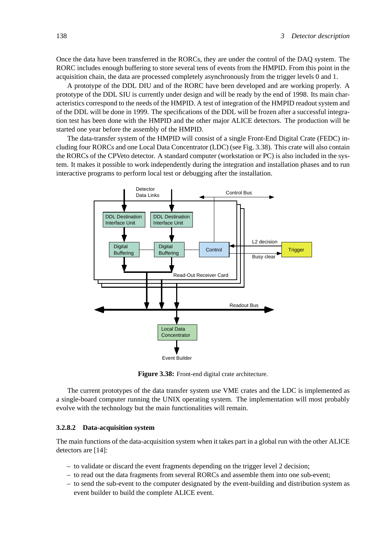Once the data have been transferred in the RORCs, they are under the control of the DAQ system. The RORC includes enough buffering to store several tens of events from the HMPID. From this point in the acquisition chain, the data are processed completely asynchronously from the trigger levels 0 and 1.

A prototype of the DDL DIU and of the RORC have been developed and are working properly. A prototype of the DDL SIU is currently under design and will be ready by the end of 1998. Its main characteristics correspond to the needs of the HMPID. A test of integration of the HMPID readout system and of the DDL will be done in 1999. The specifications of the DDL will be frozen after a successful integration test has been done with the HMPID and the other major ALICE detectors. The production will be started one year before the assembly of the HMPID.

The data-transfer system of the HMPID will consist of a single Front-End Digital Crate (FEDC) including four RORCs and one Local Data Concentrator (LDC) (see Fig. 3.38). This crate will also contain the RORCs of the CPVeto detector. A standard computer (workstation or PC) is also included in the system. It makes it possible to work independently during the integration and installation phases and to run interactive programs to perform local test or debugging after the installation.



**Figure 3.38:** Front-end digital crate architecture.

The current prototypes of the data transfer system use VME crates and the LDC is implemented as a single-board computer running the UNIX operating system. The implementation will most probably evolve with the technology but the main functionalities will remain.

# **3.2.8.2 Data-acquisition system**

The main functions of the data-acquisition system when it takes part in a global run with the other ALICE detectors are [14]:

- to validate or discard the event fragments depending on the trigger level 2 decision;
- to read out the data fragments from several RORCs and assemble them into one sub-event;
- to send the sub-event to the computer designated by the event-building and distribution system as event builder to build the complete ALICE event.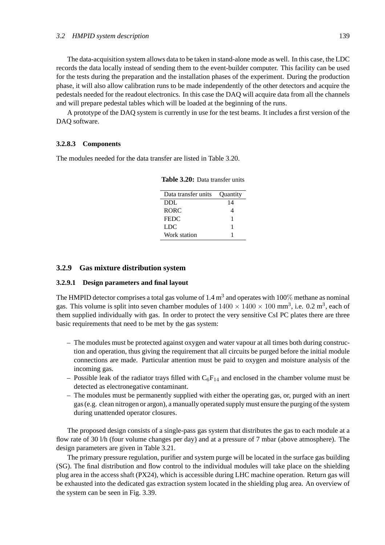The data-acquisition system allows data to be taken in stand-alone mode as well. In this case, the LDC records the data locally instead of sending them to the event-builder computer. This facility can be used for the tests during the preparation and the installation phases of the experiment. During the production phase, it will also allow calibration runs to be made independently of the other detectors and acquire the pedestals needed for the readout electronics. In this case the DAQ will acquire data from all the channels and will prepare pedestal tables which will be loaded at the beginning of the runs.

A prototype of the DAQ system is currently in use for the test beams. It includes a first version of the DAQ software.

#### **3.2.8.3 Components**

The modules needed for the data transfer are listed in Table 3.20.

| Data transfer units | Quantity |
|---------------------|----------|
| <b>DDL</b>          | 14       |
| <b>RORC</b>         |          |
| <b>FEDC</b>         |          |
| <b>LDC</b>          |          |
| Work station        |          |

**Table 3.20:** Data transfer units

# **3.2.9 Gas mixture distribution system**

#### **3.2.9.1 Design parameters and final layout**

The HMPID detector comprises a total gas volume of  $1.4 \text{ m}^3$  and operates with 100% methane as nominal gas. This volume is split into seven chamber modules of  $1400 \times 1400 \times 100$  mm<sup>3</sup>, i.e. 0.2 m<sup>3</sup>, each of them supplied individually with gas. In order to protect the very sensitive CsI PC plates there are three basic requirements that need to be met by the gas system:

- The modules must be protected against oxygen and water vapour at all times both during construction and operation, thus giving the requirement that all circuits be purged before the initial module connections are made. Particular attention must be paid to oxygen and moisture analysis of the incoming gas.
- Possible leak of the radiator trays filled with  $C_6F_{14}$  and enclosed in the chamber volume must be detected as electronegative contaminant.
- The modules must be permanently supplied with either the operating gas, or, purged with an inert gas (e.g. clean nitrogen or argon), a manually operated supply must ensure the purging of the system during unattended operator closures.

The proposed design consists of a single-pass gas system that distributes the gas to each module at a flow rate of 30 l/h (four volume changes per day) and at a pressure of 7 mbar (above atmosphere). The design parameters are given in Table 3.21.

The primary pressure regulation, purifier and system purge will be located in the surface gas building (SG). The final distribution and flow control to the individual modules will take place on the shielding plug area in the access shaft (PX24), which is accessible during LHC machine operation. Return gas will be exhausted into the dedicated gas extraction system located in the shielding plug area. An overview of the system can be seen in Fig. 3.39.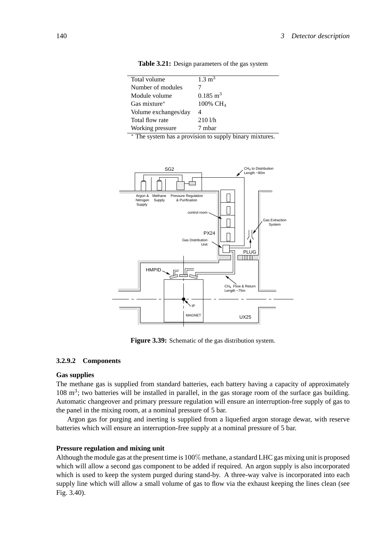| Total volume         | $1.3 \text{ m}^3$    |
|----------------------|----------------------|
| Number of modules    |                      |
| Module volume        | $0.185 \text{ m}^3$  |
| Gas mixture*         | $100\% \text{ CH}_4$ |
| Volume exchanges/day | 4                    |
| Total flow rate      | 2101/h               |
| Working pressure     | 7 mhar               |

**Table 3.21:** Design parameters of the gas system

<sup>∗</sup> The system has a provision to supply binary mixtures.



**Figure 3.39:** Schematic of the gas distribution system.

# **3.2.9.2 Components**

#### **Gas supplies**

The methane gas is supplied from standard batteries, each battery having a capacity of approximately  $108 \text{ m}^3$ ; two batteries will be installed in parallel, in the gas storage room of the surface gas building. Automatic changeover and primary pressure regulation will ensure an interruption-free supply of gas to the panel in the mixing room, at a nominal pressure of 5 bar.

Argon gas for purging and inerting is supplied from a liquefied argon storage dewar, with reserve batteries which will ensure an interruption-free supply at a nominal pressure of 5 bar.

### **Pressure regulation and mixing unit**

Although the module gas at the present time is 100% methane, a standard LHC gas mixing unit is proposed which will allow a second gas component to be added if required. An argon supply is also incorporated which is used to keep the system purged during stand-by. A three-way valve is incorporated into each supply line which will allow a small volume of gas to flow via the exhaust keeping the lines clean (see Fig. 3.40).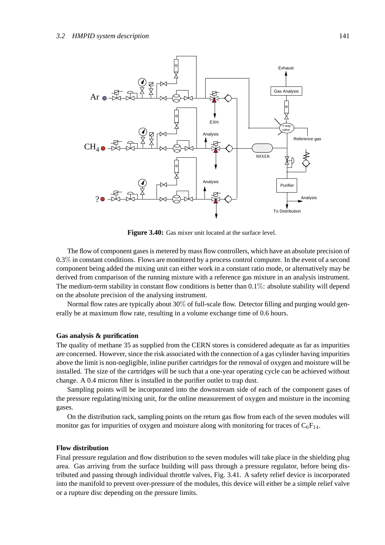

**Figure 3.40:** Gas mixer unit located at the surface level.

The flow of component gases is metered by mass flow controllers, which have an absolute precision of 0.3% in constant conditions. Flows are monitored by a process control computer. In the event of a second component being added the mixing unit can either work in a constant ratio mode, or alternatively may be derived from comparison of the running mixture with a reference gas mixture in an analysis instrument. The medium-term stability in constant flow conditions is better than  $0.1\%$ : absolute stability will depend on the absolute precision of the analysing instrument.

Normal flow rates are typically about 30% of full-scale flow. Detector filling and purging would generally be at maximum flow rate, resulting in a volume exchange time of 0.6 hours.

#### **Gas analysis & purification**

The quality of methane 35 as supplied from the CERN stores is considered adequate as far as impurities are concerned. However, since the risk associated with the connection of a gas cylinder having impurities above the limit is non-negligible, inline purifier cartridges for the removal of oxygen and moisture will be installed. The size of the cartridges will be such that a one-year operating cycle can be achieved without change. A 0.4 micron filter is installed in the purifier outlet to trap dust.

Sampling points will be incorporated into the downstream side of each of the component gases of the pressure regulating/mixing unit, for the online measurement of oxygen and moisture in the incoming gases.

On the distribution rack, sampling points on the return gas flow from each of the seven modules will monitor gas for impurities of oxygen and moisture along with monitoring for traces of  $C_6F_{14}$ .

#### **Flow distribution**

Final pressure regulation and flow distribution to the seven modules will take place in the shielding plug area. Gas arriving from the surface building will pass through a pressure regulator, before being distributed and passing through individual throttle valves, Fig. 3.41. A safety relief device is incorporated into the manifold to prevent over-pressure of the modules, this device will either be a simple relief valve or a rupture disc depending on the pressure limits.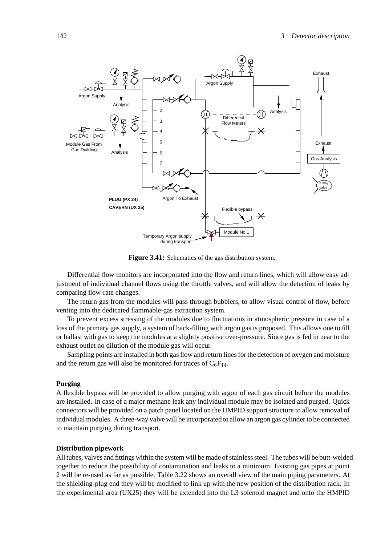

**Figure 3.41:** Schematics of the gas distribution system.

Differential flow monitors are incorporated into the flow and return lines, which will allow easy adjustment of individual channel flows using the throttle valves, and will allow the detection of leaks by comparing flow-rate changes.

The return gas from the modules will pass through bubblers, to allow visual control of flow, before venting into the dedicated flammable-gas extraction system.

To prevent excess stressing of the modules due to fluctuations in atmospheric pressure in case of a loss of the primary gas supply, a system of back-filling with argon gas is proposed. This allows one to fill or ballast with gas to keep the modules at a slightly positive over-pressure. Since gas is fed in near to the exhaust outlet no dilution of the module gas will occur.

Sampling points are installed in both gas flow and return lines for the detection of oxygen and moisture and the return gas will also be monitored for traces of  $C_6F_{14}$ .

### **Purging**

A flexible bypass will be provided to allow purging with argon of each gas circuit before the modules are installed. In case of a major methane leak any individual module may be isolated and purged. Quick connectors will be provided on a patch panel located on the HMPID support structure to allow removal of individual modules. A three-way valve will be incorporated to allow an argon gas cylinder to be connected to maintain purging during transport.

#### **Distribution pipework**

All tubes, valves and fittings within the system will be made of stainless steel. The tubes will be butt-welded together to reduce the possibility of contamination and leaks to a minimum. Existing gas pipes at point 2 will be re-used as far as possible. Table 3.22 shows an overall view of the main piping parameters. At the shielding-plug end they will be modified to link up with the new position of the distribution rack. In the experimental area (UX25) they will be extended into the L3 solenoid magnet and onto the HMPID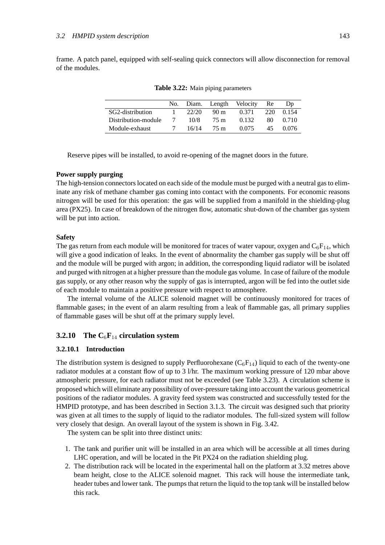frame. A patch panel, equipped with self-sealing quick connectors will allow disconnection for removal of the modules.

|                     | No. | Diam. |                 | Length Velocity | Re  | Dp    |
|---------------------|-----|-------|-----------------|-----------------|-----|-------|
| SG2-distribution    |     | 22/20 | 90 <sub>m</sub> | 0.371           | 220 | 0.154 |
| Distribution-module |     | 10/8  | 75 m            | 0.132           | 80  | 0.710 |
| Module-exhaust      |     | 16/14 | 75 m            | 0.075           | 45  | 0.076 |

**Table 3.22:** Main piping parameters

Reserve pipes will be installed, to avoid re-opening of the magnet doors in the future.

# **Power supply purging**

The high-tension connectors located on each side of the module must be purged with a neutral gas to eliminate any risk of methane chamber gas coming into contact with the components. For economic reasons nitrogen will be used for this operation: the gas will be supplied from a manifold in the shielding-plug area (PX25). In case of breakdown of the nitrogen flow, automatic shut-down of the chamber gas system will be put into action.

# **Safety**

The gas return from each module will be monitored for traces of water vapour, oxygen and  $C_6F_{14}$ , which will give a good indication of leaks. In the event of abnormality the chamber gas supply will be shut off and the module will be purged with argon; in addition, the corresponding liquid radiator will be isolated and purged with nitrogen at a higher pressure than the module gas volume. In case of failure of the module gas supply, or any other reason why the supply of gas is interrupted, argon will be fed into the outlet side of each module to maintain a positive pressure with respect to atmosphere.

The internal volume of the ALICE solenoid magnet will be continuously monitored for traces of flammable gases; in the event of an alarm resulting from a leak of flammable gas, all primary supplies of flammable gases will be shut off at the primary supply level.

# **3.2.10 The C**6**F**<sup>14</sup> **circulation system**

#### **3.2.10.1 Introduction**

The distribution system is designed to supply Perfluorohexane  $(C_6F_{14})$  liquid to each of the twenty-one radiator modules at a constant flow of up to 3 l/hr. The maximum working pressure of 120 mbar above atmospheric pressure, for each radiator must not be exceeded (see Table 3.23). A circulation scheme is proposed which will eliminate any possibility of over-pressure taking into account the various geometrical positions of the radiator modules. A gravity feed system was constructed and successfully tested for the HMPID prototype, and has been described in Section 3.1.3. The circuit was designed such that priority was given at all times to the supply of liquid to the radiator modules. The full-sized system will follow very closely that design. An overall layout of the system is shown in Fig. 3.42.

The system can be split into three distinct units:

- 1. The tank and purifier unit will be installed in an area which will be accessible at all times during LHC operation, and will be located in the Pit PX24 on the radiation shielding plug.
- 2. The distribution rack will be located in the experimental hall on the platform at 3.32 metres above beam height, close to the ALICE solenoid magnet. This rack will house the intermediate tank, header tubes and lower tank. The pumps that return the liquid to the top tank will be installed below this rack.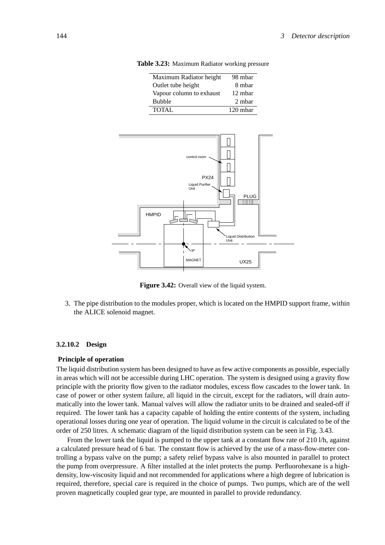| Maximum Radiator height  | 98 mbar    |
|--------------------------|------------|
| Outlet tube height       | 8 mbar     |
| Vapour column to exhaust | 12 mbar    |
| <b>Bubble</b>            | 2 mbar     |
| <b>TOTAL</b>             | $120$ mbar |

control room **N** PX24 HMPID PLUG<br>**TIIIII**T Liquid Distribution Unit Liquid Purifier Unit

**Table 3.23:** Maximum Radiator working pressure

**Figure 3.42:** Overall view of the liquid system.

MAGNET | IIX25

3. The pipe distribution to the modules proper, which is located on the HMPID support frame, within the ALICE solenoid magnet.

#### **3.2.10.2 Design**

#### **Principle of operation**

The liquid distribution system has been designed to have as few active components as possible, especially in areas which will not be accessible during LHC operation. The system is designed using a gravity flow principle with the priority flow given to the radiator modules, excess flow cascades to the lower tank. In case of power or other system failure, all liquid in the circuit, except for the radiators, will drain automatically into the lower tank. Manual valves will allow the radiator units to be drained and sealed-off if required. The lower tank has a capacity capable of holding the entire contents of the system, including operational losses during one year of operation. The liquid volume in the circuit is calculated to be of the order of 250 litres. A schematic diagram of the liquid distribution system can be seen in Fig. 3.43.

From the lower tank the liquid is pumped to the upper tank at a constant flow rate of 210 l/h, against a calculated pressure head of 6 bar. The constant flow is achieved by the use of a mass-flow-meter controlling a bypass valve on the pump; a safety relief bypass valve is also mounted in parallel to protect the pump from overpressure. A filter installed at the inlet protects the pump. Perfluorohexane is a highdensity, low-viscosity liquid and not recommended for applications where a high degree of lubrication is required, therefore, special care is required in the choice of pumps. Two pumps, which are of the well proven magnetically coupled gear type, are mounted in parallel to provide redundancy.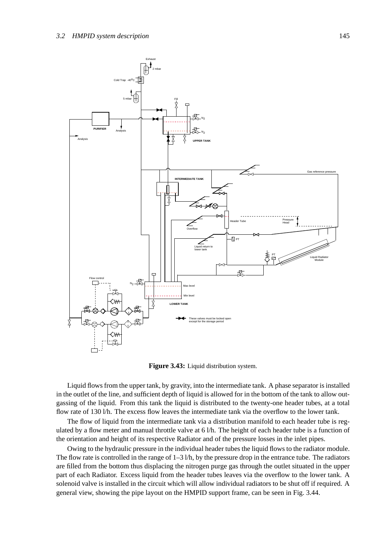

**Figure 3.43:** Liquid distribution system.

Liquid flows from the upper tank, by gravity, into the intermediate tank. A phase separator is installed in the outlet of the line, and sufficient depth of liquid is allowed for in the bottom of the tank to allow outgassing of the liquid. From this tank the liquid is distributed to the twenty-one header tubes, at a total flow rate of 130 l/h. The excess flow leaves the intermediate tank via the overflow to the lower tank.

The flow of liquid from the intermediate tank via a distribution manifold to each header tube is regulated by a flow meter and manual throttle valve at 6 l/h. The height of each header tube is a function of the orientation and height of its respective Radiator and of the pressure losses in the inlet pipes.

Owing to the hydraulic pressure in the individual header tubes the liquid flows to the radiator module. The flow rate is controlled in the range of  $1-3$  *l*/h, by the pressure drop in the entrance tube. The radiators are filled from the bottom thus displacing the nitrogen purge gas through the outlet situated in the upper part of each Radiator. Excess liquid from the header tubes leaves via the overflow to the lower tank. A solenoid valve is installed in the circuit which will allow individual radiators to be shut off if required. A general view, showing the pipe layout on the HMPID support frame, can be seen in Fig. 3.44.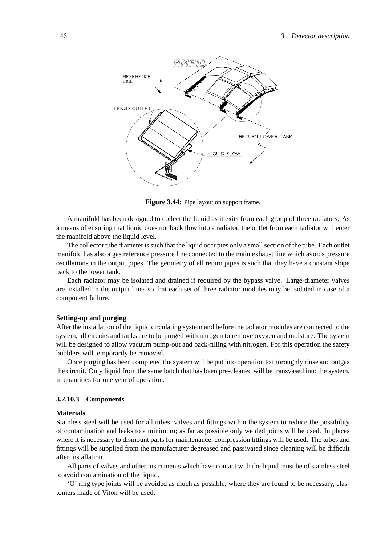

**Figure 3.44:** Pipe layout on support frame.

A manifold has been designed to collect the liquid as it exits from each group of three radiators. As a means of ensuring that liquid does not back flow into a radiator, the outlet from each radiator will enter the manifold above the liquid level.

The collector tube diameter is such that the liquid occupies only a small section of the tube. Each outlet manifold has also a gas reference pressure line connected to the main exhaust line which avoids pressure oscillations in the output pipes. The geometry of all return pipes is such that they have a constant slope back to the lower tank.

Each radiator may be isolated and drained if required by the bypass valve. Large-diameter valves are installed in the output lines so that each set of three radiator modules may be isolated in case of a component failure.

### **Setting-up and purging**

After the installation of the liquid circulating system and before the tadiator modules are connected to the system, all circuits and tanks are to be purged with nitrogen to remove oxygen and moisture. The system will be designed to allow vacuum pump-out and back-filling with nitrogen. For this operation the safety bubblers will temporarily be removed.

Once purging has been completed the system will be put into operation to thoroughly rinse and outgas the circuit. Only liquid from the same batch that has been pre-cleaned will be transvased into the system, in quantities for one year of operation.

#### **3.2.10.3 Components**

#### **Materials**

Stainless steel will be used for all tubes, valves and fittings within the system to reduce the possibility of contamination and leaks to a minimum; as far as possible only welded joints will be used. In places where it is necessary to dismount parts for maintenance, compression fittings will be used. The tubes and fittings will be supplied from the manufacturer degreased and passivated since cleaning will be difficult after installation.

All parts of valves and other instruments which have contact with the liquid must be of stainless steel to avoid contamination of the liquid.

'O' ring type joints will be avoided as much as possible; where they are found to be necessary, elastomers made of Viton will be used.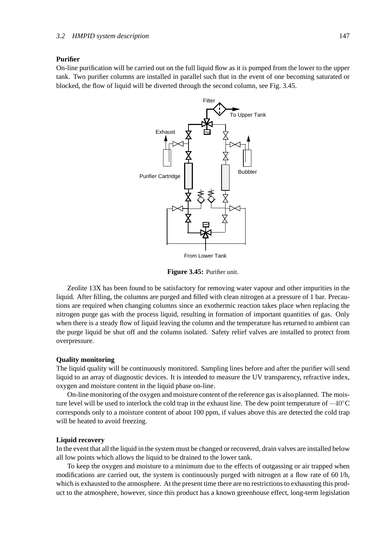#### **Purifier**

On-line purification will be carried out on the full liquid flow as it is pumped from the lower to the upper tank. Two purifier columns are installed in parallel such that in the event of one becoming saturated or blocked, the flow of liquid will be diverted through the second column, see Fig. 3.45.



From Lower Tank

**Figure 3.45:** Purifier unit.

Zeolite 13X has been found to be satisfactory for removing water vapour and other impurities in the liquid. After filling, the columns are purged and filled with clean nitrogen at a pressure of 1 bar. Precautions are required when changing columns since an exothermic reaction takes place when replacing the nitrogen purge gas with the process liquid, resulting in formation of important quantities of gas. Only when there is a steady flow of liquid leaving the column and the temperature has returned to ambient can the purge liquid be shut off and the column isolated. Safety relief valves are installed to protect from overpressure.

### **Quality monitoring**

The liquid quality will be continuously monitored. Sampling lines before and after the purifier will send liquid to an array of diagnostic devices. It is intended to measure the UV transparency, refractive index, oxygen and moisture content in the liquid phase on-line.

On-line monitoring of the oxygen and moisture content of the reference gas is also planned. The moisture level will be used to interlock the cold trap in the exhaust line. The dew point temperature of  $-40^{\circ}$ C corresponds only to a moisture content of about 100 ppm, if values above this are detected the cold trap will be heated to avoid freezing.

### **Liquid recovery**

In the event that all the liquid in the system must be changed or recovered, drain valves are installed below all low points which allows the liquid to be drained to the lower tank.

To keep the oxygen and moisture to a minimum due to the effects of outgassing or air trapped when modifications are carried out, the system is continuously purged with nitrogen at a flow rate of 60 l/h, which is exhausted to the atmosphere. At the present time there are no restrictions to exhausting this product to the atmosphere, however, since this product has a known greenhouse effect, long-term legislation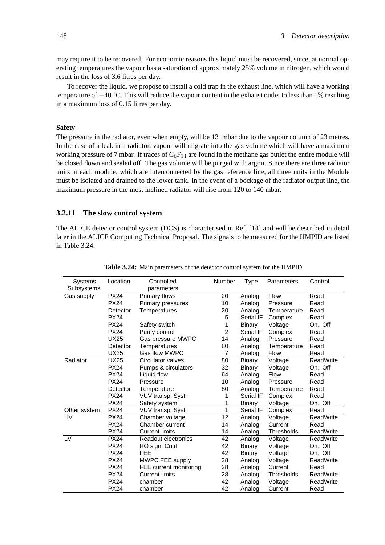may require it to be recovered. For economic reasons this liquid must be recovered, since, at normal operating temperatures the vapour has a saturation of approximately 25% volume in nitrogen, which would result in the loss of 3.6 litres per day.

To recover the liquid, we propose to install a cold trap in the exhaust line, which will have a working temperature of  $-40$  °C. This will reduce the vapour content in the exhaust outlet to less than 1% resulting in a maximum loss of 0.15 litres per day.

# **Safety**

The pressure in the radiator, even when empty, will be 13 mbar due to the vapour column of 23 metres, In the case of a leak in a radiator, vapour will migrate into the gas volume which will have a maximum working pressure of 7 mbar. If traces of  $C_6F_{14}$  are found in the methane gas outlet the entire module will be closed down and sealed off. The gas volume will be purged with argon. Since there are three radiator units in each module, which are interconnected by the gas reference line, all three units in the Module must be isolated and drained to the lower tank. In the event of a bockage of the radiator output line, the maximum pressure in the most inclined radiator will rise from 120 to 140 mbar.

# **3.2.11 The slow control system**

The ALICE detector control system (DCS) is characterised in Ref. [14] and will be described in detail later in the ALICE Computing Technical Proposal. The signals to be measured for the HMPID are listed in Table 3.24.

| <b>Systems</b> | Location    | Controlled               | Number         | Type          | Parameters  | Control          |
|----------------|-------------|--------------------------|----------------|---------------|-------------|------------------|
| Subsystems     |             | parameters               |                |               |             |                  |
| Gas supply     | <b>PX24</b> | Primary flows            | 20             | Analog        | <b>Flow</b> | Read             |
|                | <b>PX24</b> | <b>Primary pressures</b> | 10             | Analog        | Pressure    | Read             |
|                | Detector    | Temperatures             | 20             | Analog        | Temperature | Read             |
|                | <b>PX24</b> |                          | 5              | Serial IF     | Complex     | Read             |
|                | <b>PX24</b> | Safety switch            | 1              | Binary        | Voltage     | On,, Off         |
|                | <b>PX24</b> | Purity control           | 2              | Serial IF     | Complex     | Read             |
|                | <b>UX25</b> | Gas pressure MWPC        | 14             | Analog        | Pressure    | Read             |
|                | Detector    | Temperatures             | 80             | Analog        | Temperature | Read             |
|                | <b>UX25</b> | Gas flow MWPC            | $\overline{7}$ | Analog        | <b>Flow</b> | Read             |
| Radiator       | <b>UX25</b> | <b>Circulator valves</b> | 80             | <b>Binary</b> | Voltage     | <b>ReadWrite</b> |
|                | <b>PX24</b> | Pumps & circulators      | 32             | <b>Binary</b> | Voltage     | On,, Off         |
|                | <b>PX24</b> | Liquid flow              | 64             | Analog        | <b>Flow</b> | Read             |
|                | <b>PX24</b> | Pressure                 | 10             | Analog        | Pressure    | Read             |
|                | Detector    | Temperature              | 80             | Analog        | Temperature | Read             |
|                | <b>PX24</b> | VUV transp. Syst.        | 1              | Serial IF     | Complex     | Read             |
|                | <b>PX24</b> | Safety system            | 1              | <b>Binary</b> | Voltage     | On,, Off         |
| Other system   | <b>PX24</b> | VUV transp. Syst.        | 1              | Serial IF     | Complex     | Read             |
| H <sub>V</sub> | <b>PX24</b> | Chamber voltage          | 12             | Analog        | Voltage     | <b>ReadWrite</b> |
|                | <b>PX24</b> | Chamber current          | 14             | Analog        | Current     | Read             |
|                | <b>PX24</b> | <b>Current limits</b>    | 14             | Analog        | Thresholds  | <b>ReadWrite</b> |
| LV             | <b>PX24</b> | Readout electronics      | 42             | Analog        | Voltage     | <b>ReadWrite</b> |
|                | <b>PX24</b> | RO sign. Cntrl           | 42             | Binary        | Voltage     | On., Off         |
|                | <b>PX24</b> | <b>FEE</b>               | 42             | Binary        | Voltage     | On, Off          |
|                | <b>PX24</b> | MWPC FEE supply          | 28             | Analog        | Voltage     | <b>ReadWrite</b> |
|                | <b>PX24</b> | FEE current monitoring   | 28             | Analog        | Current     | Read             |
|                | <b>PX24</b> | <b>Current limits</b>    | 28             | Analog        | Thresholds  | <b>ReadWrite</b> |
|                | <b>PX24</b> | chamber                  | 42             | Analog        | Voltage     | <b>ReadWrite</b> |
|                | <b>PX24</b> | chamber                  | 42             | Analog        | Current     | Read             |

**Table 3.24:** Main parameters of the detector control system for the HMPID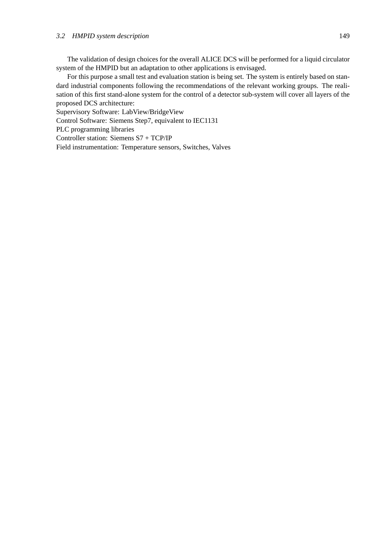The validation of design choices for the overall ALICE DCS will be performed for a liquid circulator system of the HMPID but an adaptation to other applications is envisaged.

For this purpose a small test and evaluation station is being set. The system is entirely based on standard industrial components following the recommendations of the relevant working groups. The realisation of this first stand-alone system for the control of a detector sub-system will cover all layers of the proposed DCS architecture:

Supervisory Software: LabView/BridgeView

Control Software: Siemens Step7, equivalent to IEC1131

PLC programming libraries

Controller station: Siemens S7 + TCP/IP

Field instrumentation: Temperature sensors, Switches, Valves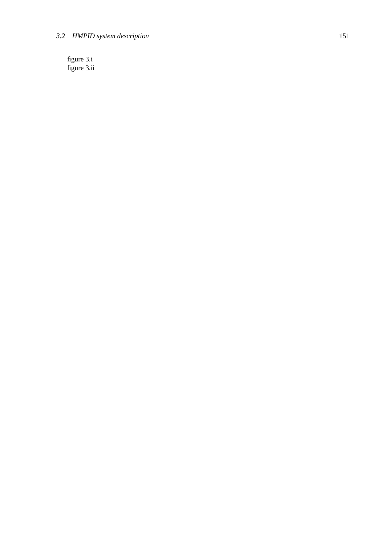# *3.2 HMPID system description* 151

figure 3.i figure 3.ii